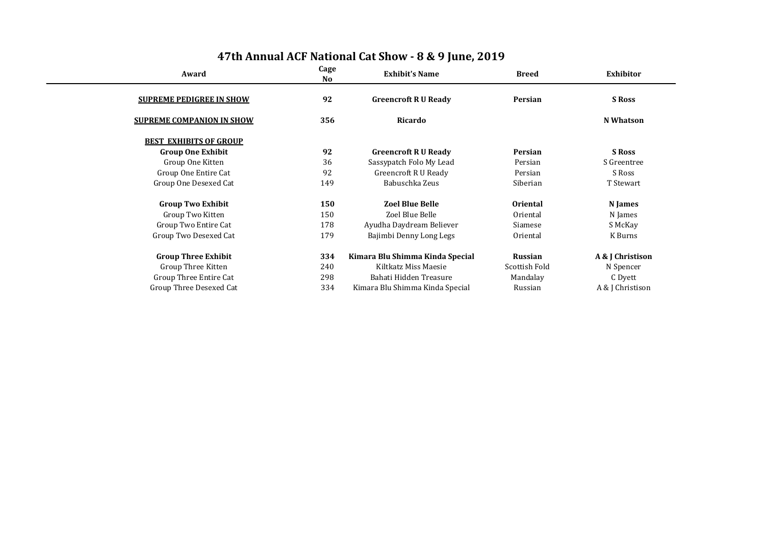| Award                            | Cage<br>No. | <b>Exhibit's Name</b>           | <b>Breed</b>    | Exhibitor        |  |
|----------------------------------|-------------|---------------------------------|-----------------|------------------|--|
| <b>SUPREME PEDIGREE IN SHOW</b>  | 92          | <b>Greencroft R U Ready</b>     | Persian         | <b>S</b> Ross    |  |
| <b>SUPREME COMPANION IN SHOW</b> | 356         | Ricardo                         |                 | <b>N</b> Whatson |  |
| <b>BEST EXHIBITS OF GROUP</b>    |             |                                 |                 |                  |  |
| <b>Group One Exhibit</b>         | 92          | <b>Greencroft R U Ready</b>     | Persian         | <b>S</b> Ross    |  |
| Group One Kitten                 | 36          | Sassypatch Folo My Lead         | Persian         | S Greentree      |  |
| Group One Entire Cat             | 92          | <b>Greencroft R U Ready</b>     | Persian         | S Ross           |  |
| Group One Desexed Cat            | 149         | Babuschka Zeus                  | Siberian        | T Stewart        |  |
| <b>Group Two Exhibit</b>         | 150         | <b>Zoel Blue Belle</b>          | <b>Oriental</b> | <b>N</b> James   |  |
| Group Two Kitten                 | 150         | Zoel Blue Belle                 | Oriental        | N James          |  |
| Group Two Entire Cat             | 178         | Ayudha Daydream Believer        | Siamese         | S McKay          |  |
| Group Two Desexed Cat            | 179         | Bajimbi Denny Long Legs         | Oriental        | K Burns          |  |
| <b>Group Three Exhibit</b>       | 334         | Kimara Blu Shimma Kinda Special | <b>Russian</b>  | A & J Christison |  |
| Group Three Kitten               | 240         | Kiltkatz Miss Maesie            | Scottish Fold   | N Spencer        |  |
| Group Three Entire Cat           | 298         | Bahati Hidden Treasure          | Mandalay        | C Dyett          |  |
| <b>Group Three Desexed Cat</b>   | 334         | Kimara Blu Shimma Kinda Special | Russian         | A & J Christison |  |
|                                  |             |                                 |                 |                  |  |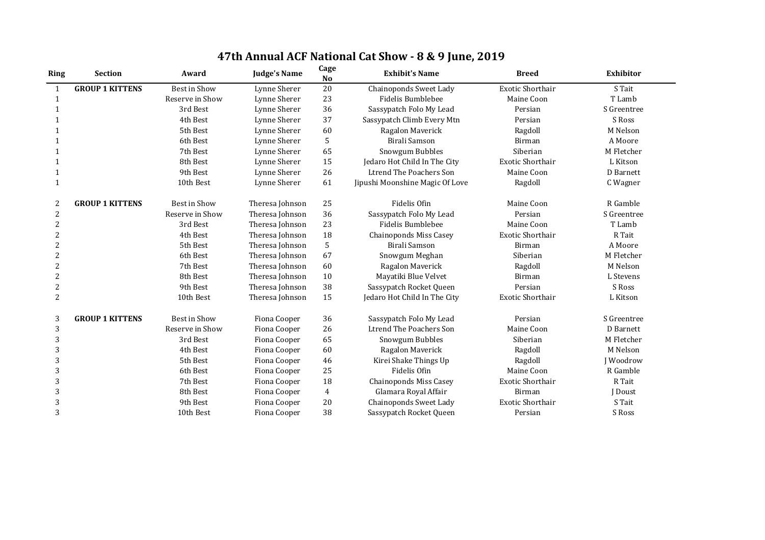| <b>Ring</b>    | <b>Section</b>         | Award               | <b>Judge's Name</b> | Cage<br><b>No</b> | <b>Exhibit's Name</b>           | <b>Breed</b>            | <b>Exhibitor</b> |
|----------------|------------------------|---------------------|---------------------|-------------------|---------------------------------|-------------------------|------------------|
| $\mathbf{1}$   | <b>GROUP 1 KITTENS</b> | <b>Best in Show</b> | Lynne Sherer        | 20                | <b>Chainoponds Sweet Lady</b>   | <b>Exotic Shorthair</b> | S Tait           |
| $\mathbf{1}$   |                        | Reserve in Show     | Lynne Sherer        | 23                | <b>Fidelis Bumblebee</b>        | Maine Coon              | T Lamb           |
| 1              |                        | 3rd Best            | Lynne Sherer        | 36                | Sassypatch Folo My Lead         | Persian                 | S Greentree      |
|                |                        | 4th Best            | Lynne Sherer        | 37                | Sassypatch Climb Every Mtn      | Persian                 | S Ross           |
|                |                        | 5th Best            | Lynne Sherer        | 60                | Ragalon Maverick                | Ragdoll                 | M Nelson         |
|                |                        | 6th Best            | Lynne Sherer        | 5                 | <b>Birali Samson</b>            | Birman                  | A Moore          |
| 1              |                        | 7th Best            | Lynne Sherer        | 65                | <b>Snowgum Bubbles</b>          | Siberian                | M Fletcher       |
|                |                        | 8th Best            | Lynne Sherer        | 15                | Jedaro Hot Child In The City    | <b>Exotic Shorthair</b> | L Kitson         |
|                |                        | 9th Best            | Lynne Sherer        | 26                | <b>Ltrend The Poachers Son</b>  | Maine Coon              | D Barnett        |
| 1              |                        | 10th Best           | Lynne Sherer        | 61                | Jipushi Moonshine Magic Of Love | Ragdoll                 | C Wagner         |
| 2              | <b>GROUP 1 KITTENS</b> | <b>Best in Show</b> | Theresa Johnson     | 25                | Fidelis Ofin                    | Maine Coon              | R Gamble         |
| 2              |                        | Reserve in Show     | Theresa Johnson     | 36                | Sassypatch Folo My Lead         | Persian                 | S Greentree      |
| $\overline{2}$ |                        | 3rd Best            | Theresa Johnson     | 23                | <b>Fidelis Bumblebee</b>        | Maine Coon              | T Lamb           |
| 2              |                        | 4th Best            | Theresa Johnson     | 18                | <b>Chainoponds Miss Casey</b>   | <b>Exotic Shorthair</b> | R Tait           |
| $\overline{2}$ |                        | 5th Best            | Theresa Johnson     | 5                 | <b>Birali Samson</b>            | <b>Birman</b>           | A Moore          |
| 2              |                        | 6th Best            | Theresa Johnson     | 67                | Snowgum Meghan                  | Siberian                | M Fletcher       |
| 2              |                        | 7th Best            | Theresa Johnson     | 60                | Ragalon Maverick                | Ragdoll                 | M Nelson         |
| $\overline{2}$ |                        | 8th Best            | Theresa Johnson     | 10                | Mayatiki Blue Velvet            | <b>Birman</b>           | L Stevens        |
| 2              |                        | 9th Best            | Theresa Johnson     | 38                | Sassypatch Rocket Queen         | Persian                 | S Ross           |
| $\overline{2}$ |                        | 10th Best           | Theresa Johnson     | 15                | Jedaro Hot Child In The City    | <b>Exotic Shorthair</b> | L Kitson         |
| 3              | <b>GROUP 1 KITTENS</b> | <b>Best in Show</b> | Fiona Cooper        | 36                | Sassypatch Folo My Lead         | Persian                 | S Greentree      |
| 3              |                        | Reserve in Show     | Fiona Cooper        | 26                | <b>Ltrend The Poachers Son</b>  | Maine Coon              | D Barnett        |
| 3              |                        | 3rd Best            | Fiona Cooper        | 65                | Snowgum Bubbles                 | Siberian                | M Fletcher       |
| 3              |                        | 4th Best            | Fiona Cooper        | 60                | Ragalon Maverick                | Ragdoll                 | M Nelson         |
| 3              |                        | 5th Best            | Fiona Cooper        | 46                | Kirei Shake Things Up           | Ragdoll                 | <b>J</b> Woodrow |
| 3              |                        | 6th Best            | Fiona Cooper        | 25                | Fidelis Ofin                    | Maine Coon              | R Gamble         |
| 3              |                        | 7th Best            | Fiona Cooper        | 18                | <b>Chainoponds Miss Casey</b>   | Exotic Shorthair        | R Tait           |
| 3              |                        | 8th Best            | Fiona Cooper        | $\overline{4}$    | Glamara Royal Affair            | <b>Birman</b>           | J Doust          |
| 3              |                        | 9th Best            | Fiona Cooper        | 20                | <b>Chainoponds Sweet Lady</b>   | <b>Exotic Shorthair</b> | S Tait           |
| 3              |                        | 10th Best           | Fiona Cooper        | 38                | Sassypatch Rocket Queen         | Persian                 | S Ross           |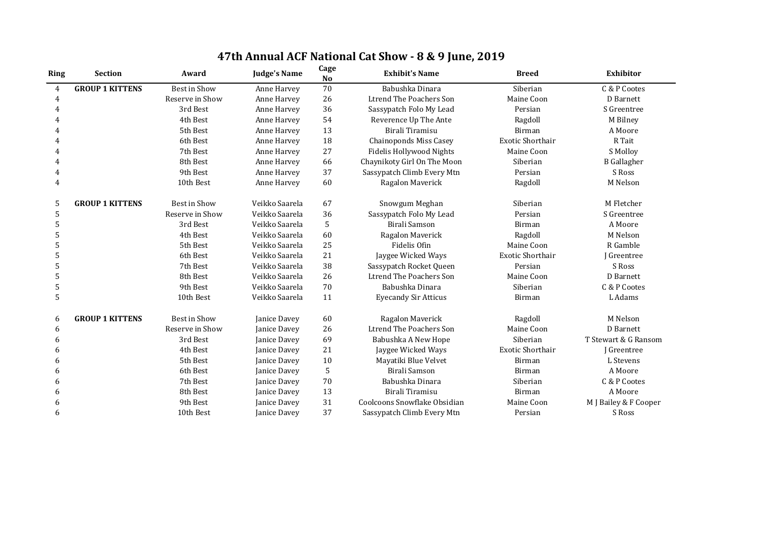| 47th Annual ACF National Cat Show - 8 & 9 June, 2019 |  |  |
|------------------------------------------------------|--|--|
|------------------------------------------------------|--|--|

|                |                        |                     |                     |                   | $\alpha$ un nutronur dut bliv $\alpha$ v $\alpha$ ) julie, boi $\alpha$ |                         |                       |
|----------------|------------------------|---------------------|---------------------|-------------------|-------------------------------------------------------------------------|-------------------------|-----------------------|
| <b>Ring</b>    | <b>Section</b>         | Award               | <b>Judge's Name</b> | Cage<br><b>No</b> | <b>Exhibit's Name</b>                                                   | <b>Breed</b>            | <b>Exhibitor</b>      |
| $\overline{4}$ | <b>GROUP 1 KITTENS</b> | Best in Show        | Anne Harvey         | 70                | Babushka Dinara                                                         | Siberian                | C & P Cootes          |
| $\overline{4}$ |                        | Reserve in Show     | Anne Harvey         | 26                | <b>Ltrend The Poachers Son</b>                                          | Maine Coon              | D Barnett             |
| 4              |                        | 3rd Best            | Anne Harvey         | 36                | Sassypatch Folo My Lead                                                 | Persian                 | S Greentree           |
| 4              |                        | 4th Best            | Anne Harvey         | 54                | Reverence Up The Ante                                                   | Ragdoll                 | M Bilney              |
|                |                        | 5th Best            | Anne Harvey         | 13                | Birali Tiramisu                                                         | <b>Birman</b>           | A Moore               |
|                |                        | 6th Best            | Anne Harvey         | 18                | <b>Chainoponds Miss Casey</b>                                           | <b>Exotic Shorthair</b> | R Tait                |
| 4              |                        | 7th Best            | Anne Harvey         | 27                | <b>Fidelis Hollywood Nights</b>                                         | Maine Coon              | S Molloy              |
| 4              |                        | 8th Best            | Anne Harvey         | 66                | Chaynikoty Girl On The Moon                                             | Siberian                | <b>B</b> Gallagher    |
| 4              |                        | 9th Best            | Anne Harvey         | 37                | Sassypatch Climb Every Mtn                                              | Persian                 | S Ross                |
| 4              |                        | 10th Best           | Anne Harvey         | 60                | Ragalon Maverick                                                        | Ragdoll                 | M Nelson              |
| 5              | <b>GROUP 1 KITTENS</b> | <b>Best in Show</b> | Veikko Saarela      | 67                | Snowgum Meghan                                                          | Siberian                | M Fletcher            |
| 5              |                        | Reserve in Show     | Veikko Saarela      | 36                | Sassypatch Folo My Lead                                                 | Persian                 | S Greentree           |
| 5              |                        | 3rd Best            | Veikko Saarela      | 5                 | Birali Samson                                                           | Birman                  | A Moore               |
| 5              |                        | 4th Best            | Veikko Saarela      | 60                | Ragalon Maverick                                                        | Ragdoll                 | M Nelson              |
| 5              |                        | 5th Best            | Veikko Saarela      | 25                | Fidelis Ofin                                                            | Maine Coon              | R Gamble              |
| 5              |                        | 6th Best            | Veikko Saarela      | 21                | Jaygee Wicked Ways                                                      | <b>Exotic Shorthair</b> | J Greentree           |
| 5              |                        | 7th Best            | Veikko Saarela      | 38                | Sassypatch Rocket Queen                                                 | Persian                 | S Ross                |
| 5              |                        | 8th Best            | Veikko Saarela      | 26                | <b>Ltrend The Poachers Son</b>                                          | Maine Coon              | D Barnett             |
| 5              |                        | 9th Best            | Veikko Saarela      | 70                | Babushka Dinara                                                         | Siberian                | C & P Cootes          |
| 5              |                        | 10th Best           | Veikko Saarela      | 11                | <b>Eyecandy Sir Atticus</b>                                             | Birman                  | L Adams               |
| 6              | <b>GROUP 1 KITTENS</b> | <b>Best in Show</b> | Janice Davey        | 60                | Ragalon Maverick                                                        | Ragdoll                 | M Nelson              |
| 6              |                        | Reserve in Show     | Janice Davey        | 26                | <b>Ltrend The Poachers Son</b>                                          | Maine Coon              | D Barnett             |
| 6              |                        | 3rd Best            | Janice Davey        | 69                | Babushka A New Hope                                                     | Siberian                | T Stewart & G Ransom  |
| 6              |                        | 4th Best            | Janice Davey        | 21                | Jaygee Wicked Ways                                                      | <b>Exotic Shorthair</b> | J Greentree           |
| 6              |                        | 5th Best            | Janice Davey        | 10                | Mayatiki Blue Velvet                                                    | Birman                  | L Stevens             |
| 6              |                        | 6th Best            | Janice Davey        | $5\phantom{.0}$   | Birali Samson                                                           | Birman                  | A Moore               |
| 6              |                        | 7th Best            | Janice Davey        | 70                | Babushka Dinara                                                         | Siberian                | C & P Cootes          |
| 6              |                        | 8th Best            | Janice Davey        | 13                | Birali Tiramisu                                                         | Birman                  | A Moore               |
| 6              |                        | 9th Best            | Janice Davey        | 31                | Coolcoons Snowflake Obsidian                                            | Maine Coon              | M J Bailey & F Cooper |
| 6              |                        | 10th Best           | Janice Davey        | 37                | Sassypatch Climb Every Mtn                                              | Persian                 | S Ross                |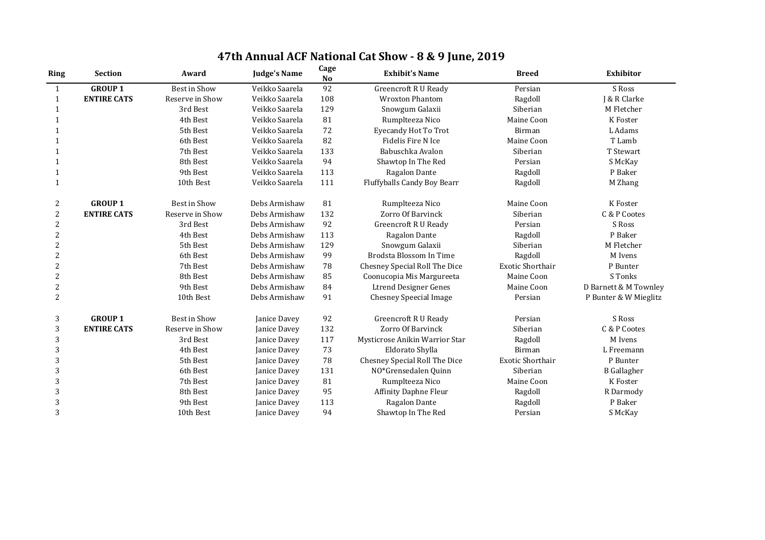| 47th Annual ACF National Cat Show - 8 & 9 June, 2019 |  |  |  |  |  |
|------------------------------------------------------|--|--|--|--|--|
|------------------------------------------------------|--|--|--|--|--|

| <b>Ring</b>    | <b>Section</b>     | Award           | <b>Judge's Name</b> | Cage<br><b>No</b> | <b>Exhibit's Name</b>              | <b>Breed</b>            | <b>Exhibitor</b>      |
|----------------|--------------------|-----------------|---------------------|-------------------|------------------------------------|-------------------------|-----------------------|
| $\mathbf{1}$   | <b>GROUP 1</b>     | Best in Show    | Veikko Saarela      | 92                | <b>Greencroft R U Ready</b>        | Persian                 | S Ross                |
| $\mathbf{1}$   | <b>ENTIRE CATS</b> | Reserve in Show | Veikko Saarela      | 108               | <b>Wroxton Phantom</b>             | Ragdoll                 | J & R Clarke          |
| 1              |                    | 3rd Best        | Veikko Saarela      | 129               | Snowgum Galaxii                    | Siberian                | M Fletcher            |
|                |                    | 4th Best        | Veikko Saarela      | 81                | Rumplteeza Nico                    | Maine Coon              | K Foster              |
| -1             |                    | 5th Best        | Veikko Saarela      | 72                | <b>Eyecandy Hot To Trot</b>        | <b>Birman</b>           | L Adams               |
|                |                    | 6th Best        | Veikko Saarela      | 82                | Fidelis Fire N Ice                 | Maine Coon              | T Lamb                |
|                |                    | 7th Best        | Veikko Saarela      | 133               | Babuschka Avalon                   | Siberian                | T Stewart             |
| 1              |                    | 8th Best        | Veikko Saarela      | 94                | Shawtop In The Red                 | Persian                 | S McKay               |
| -1             |                    | 9th Best        | Veikko Saarela      | 113               | Ragalon Dante                      | Ragdoll                 | P Baker               |
| $\mathbf{1}$   |                    | 10th Best       | Veikko Saarela      | 111               | <b>Fluffyballs Candy Boy Bearr</b> | Ragdoll                 | M Zhang               |
| 2              | <b>GROUP 1</b>     | Best in Show    | Debs Armishaw       | 81                | Rumplteeza Nico                    | Maine Coon              | K Foster              |
| $\overline{2}$ | <b>ENTIRE CATS</b> | Reserve in Show | Debs Armishaw       | 132               | Zorro Of Barvinck                  | Siberian                | C & P Cootes          |
| $\overline{2}$ |                    | 3rd Best        | Debs Armishaw       | 92                | <b>Greencroft R U Ready</b>        | Persian                 | S Ross                |
| $\overline{2}$ |                    | 4th Best        | Debs Armishaw       | 113               | Ragalon Dante                      | Ragdoll                 | P Baker               |
| $\overline{2}$ |                    | 5th Best        | Debs Armishaw       | 129               | Snowgum Galaxii                    | Siberian                | M Fletcher            |
| $\overline{2}$ |                    | 6th Best        | Debs Armishaw       | 99                | Brodsta Blossom In Time            | Ragdoll                 | M Ivens               |
| $\overline{2}$ |                    | 7th Best        | Debs Armishaw       | 78                | Chesney Special Roll The Dice      | <b>Exotic Shorthair</b> | P Bunter              |
| $\overline{2}$ |                    | 8th Best        | Debs Armishaw       | 85                | Coonucopia Mis Margureeta          | Maine Coon              | S Tonks               |
| $\overline{2}$ |                    | 9th Best        | Debs Armishaw       | 84                | <b>Ltrend Designer Genes</b>       | Maine Coon              | D Barnett & M Townley |
| $\overline{2}$ |                    | 10th Best       | Debs Armishaw       | 91                | <b>Chesney Speecial Image</b>      | Persian                 | P Bunter & W Mieglitz |
| 3              | <b>GROUP 1</b>     | Best in Show    | Janice Davey        | 92                | <b>Greencroft R U Ready</b>        | Persian                 | S Ross                |
| 3              | <b>ENTIRE CATS</b> | Reserve in Show | Janice Davey        | 132               | Zorro Of Barvinck                  | Siberian                | C & P Cootes          |
| 3              |                    | 3rd Best        | Janice Davey        | 117               | Mysticrose Anikin Warrior Star     | Ragdoll                 | M Ivens               |
| 3              |                    | 4th Best        | Janice Davey        | 73                | Eldorato Shylla                    | Birman                  | L Freemann            |
| 3              |                    | 5th Best        | Janice Davey        | 78                | Chesney Special Roll The Dice      | <b>Exotic Shorthair</b> | P Bunter              |
| 3              |                    | 6th Best        | Janice Davey        | 131               | NO*Grensedalen Quinn               | Siberian                | <b>B</b> Gallagher    |
| 3              |                    | 7th Best        | Janice Davey        | 81                | Rumplteeza Nico                    | Maine Coon              | K Foster              |
| 3              |                    | 8th Best        | Janice Davey        | 95                | <b>Affinity Daphne Fleur</b>       | Ragdoll                 | R Darmody             |
| 3              |                    | 9th Best        | Janice Davey        | 113               | Ragalon Dante                      | Ragdoll                 | P Baker               |
| 3              |                    | 10th Best       | Janice Davey        | 94                | Shawtop In The Red                 | Persian                 | S McKay               |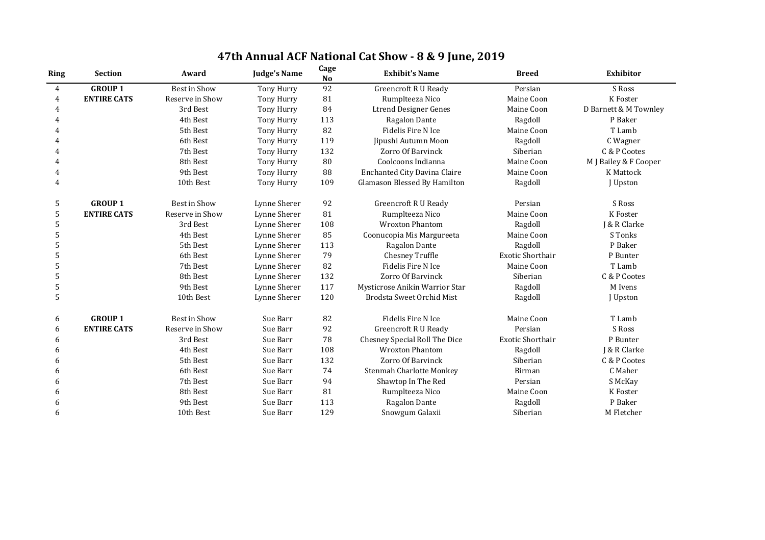| <b>Ring</b> | <b>Section</b>     | Award               | <b>Judge's Name</b> | Cage<br><b>No</b> | <b>Exhibit's Name</b>               | <b>Breed</b>            | <b>Exhibitor</b>      |
|-------------|--------------------|---------------------|---------------------|-------------------|-------------------------------------|-------------------------|-----------------------|
| 4           | <b>GROUP 1</b>     | <b>Best in Show</b> | Tony Hurry          | 92                | <b>Greencroft R U Ready</b>         | Persian                 | S Ross                |
| 4           | <b>ENTIRE CATS</b> | Reserve in Show     | Tony Hurry          | 81                | Rumplteeza Nico                     | Maine Coon              | K Foster              |
| 4           |                    | 3rd Best            | Tony Hurry          | 84                | <b>Ltrend Designer Genes</b>        | Maine Coon              | D Barnett & M Townley |
| 4           |                    | 4th Best            | Tony Hurry          | 113               | Ragalon Dante                       | Ragdoll                 | P Baker               |
|             |                    | 5th Best            | Tony Hurry          | 82                | <b>Fidelis Fire N Ice</b>           | Maine Coon              | T Lamb                |
|             |                    | 6th Best            | Tony Hurry          | 119               | Jipushi Autumn Moon                 | Ragdoll                 | C Wagner              |
| 4           |                    | 7th Best            | Tony Hurry          | 132               | Zorro Of Barvinck                   | Siberian                | C & P Cootes          |
|             |                    | 8th Best            | Tony Hurry          | 80                | Coolcoons Indianna                  | Maine Coon              | M J Bailey & F Cooper |
| 4           |                    | 9th Best            | Tony Hurry          | 88                | <b>Enchanted City Davina Claire</b> | Maine Coon              | <b>K</b> Mattock      |
| 4           |                    | 10th Best           | Tony Hurry          | 109               | Glamason Blessed By Hamilton        | Ragdoll                 | J Upston              |
| 5           | <b>GROUP 1</b>     | <b>Best in Show</b> | Lynne Sherer        | 92                | <b>Greencroft R U Ready</b>         | Persian                 | S Ross                |
| 5           | <b>ENTIRE CATS</b> | Reserve in Show     | Lynne Sherer        | 81                | Rumplteeza Nico                     | Maine Coon              | K Foster              |
| 5           |                    | 3rd Best            | Lynne Sherer        | 108               | <b>Wroxton Phantom</b>              | Ragdoll                 | J & R Clarke          |
| 5           |                    | 4th Best            | Lynne Sherer        | 85                | Coonucopia Mis Margureeta           | Maine Coon              | S Tonks               |
| 5           |                    | 5th Best            | Lynne Sherer        | 113               | Ragalon Dante                       | Ragdoll                 | P Baker               |
| 5           |                    | 6th Best            | Lynne Sherer        | 79                | Chesney Truffle                     | <b>Exotic Shorthair</b> | P Bunter              |
| 5           |                    | 7th Best            | Lynne Sherer        | 82                | <b>Fidelis Fire N Ice</b>           | Maine Coon              | T Lamb                |
| 5           |                    | 8th Best            | Lynne Sherer        | 132               | Zorro Of Barvinck                   | Siberian                | C & P Cootes          |
| 5           |                    | 9th Best            | Lynne Sherer        | 117               | Mysticrose Anikin Warrior Star      | Ragdoll                 | M Ivens               |
| 5           |                    | 10th Best           | Lynne Sherer        | 120               | <b>Brodsta Sweet Orchid Mist</b>    | Ragdoll                 | J Upston              |
| 6           | <b>GROUP 1</b>     | <b>Best in Show</b> | Sue Barr            | 82                | Fidelis Fire N Ice                  | Maine Coon              | T Lamb                |
| 6           | <b>ENTIRE CATS</b> | Reserve in Show     | Sue Barr            | 92                | <b>Greencroft R U Ready</b>         | Persian                 | S Ross                |
| 6           |                    | 3rd Best            | Sue Barr            | 78                | Chesney Special Roll The Dice       | <b>Exotic Shorthair</b> | P Bunter              |
| 6           |                    | 4th Best            | Sue Barr            | 108               | <b>Wroxton Phantom</b>              | Ragdoll                 | J & R Clarke          |
| 6           |                    | 5th Best            | Sue Barr            | 132               | Zorro Of Barvinck                   | Siberian                | C & P Cootes          |
| 6           |                    | 6th Best            | Sue Barr            | 74                | <b>Stenmah Charlotte Monkey</b>     | <b>Birman</b>           | C Maher               |
| 6           |                    | 7th Best            | Sue Barr            | 94                | Shawtop In The Red                  | Persian                 | S McKay               |
| 6           |                    | 8th Best            | Sue Barr            | 81                | Rumplteeza Nico                     | Maine Coon              | K Foster              |
| 6           |                    | 9th Best            | Sue Barr            | 113               | Ragalon Dante                       | Ragdoll                 | P Baker               |
| 6           |                    | 10th Best           | Sue Barr            | 129               | Snowgum Galaxii                     | Siberian                | M Fletcher            |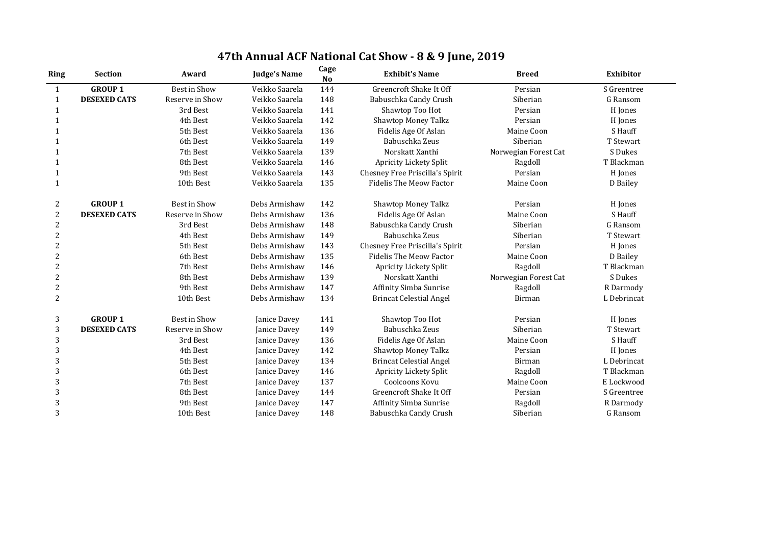| <b>Ring</b>    | <b>Section</b>      | Award               | <b>Judge's Name</b> | Cage<br><b>No</b> | <b>Exhibit's Name</b>           | <b>Breed</b>         | <b>Exhibitor</b> |
|----------------|---------------------|---------------------|---------------------|-------------------|---------------------------------|----------------------|------------------|
| $\mathbf{1}$   | <b>GROUP 1</b>      | Best in Show        | Veikko Saarela      | 144               | <b>Greencroft Shake It Off</b>  | Persian              | S Greentree      |
| $\mathbf{1}$   | <b>DESEXED CATS</b> | Reserve in Show     | Veikko Saarela      | 148               | Babuschka Candy Crush           | Siberian             | G Ransom         |
| $\mathbf{1}$   |                     | 3rd Best            | Veikko Saarela      | 141               | Shawtop Too Hot                 | Persian              | H Jones          |
|                |                     | 4th Best            | Veikko Saarela      | 142               | <b>Shawtop Money Talkz</b>      | Persian              | H Jones          |
| -1             |                     | 5th Best            | Veikko Saarela      | 136               | Fidelis Age Of Aslan            | Maine Coon           | S Hauff          |
|                |                     | 6th Best            | Veikko Saarela      | 149               | Babuschka Zeus                  | Siberian             | T Stewart        |
| 1              |                     | 7th Best            | Veikko Saarela      | 139               | Norskatt Xanthi                 | Norwegian Forest Cat | S Dukes          |
| $\mathbf 1$    |                     | 8th Best            | Veikko Saarela      | 146               | Apricity Lickety Split          | Ragdoll              | T Blackman       |
|                |                     | 9th Best            | Veikko Saarela      | 143               | Chesney Free Priscilla's Spirit | Persian              | H Jones          |
| $\mathbf{1}$   |                     | 10th Best           | Veikko Saarela      | 135               | <b>Fidelis The Meow Factor</b>  | Maine Coon           | D Bailey         |
| 2              | <b>GROUP 1</b>      | <b>Best in Show</b> | Debs Armishaw       | 142               | <b>Shawtop Money Talkz</b>      | Persian              | H Jones          |
| $\overline{2}$ | <b>DESEXED CATS</b> | Reserve in Show     | Debs Armishaw       | 136               | Fidelis Age Of Aslan            | Maine Coon           | S Hauff          |
| $\overline{2}$ |                     | 3rd Best            | Debs Armishaw       | 148               | Babuschka Candy Crush           | Siberian             | G Ransom         |
| $\overline{2}$ |                     | 4th Best            | Debs Armishaw       | 149               | Babuschka Zeus                  | Siberian             | T Stewart        |
| $\overline{2}$ |                     | 5th Best            | Debs Armishaw       | 143               | Chesney Free Priscilla's Spirit | Persian              | H Jones          |
| $\overline{2}$ |                     | 6th Best            | Debs Armishaw       | 135               | <b>Fidelis The Meow Factor</b>  | Maine Coon           | D Bailey         |
| $\overline{2}$ |                     | 7th Best            | Debs Armishaw       | 146               | Apricity Lickety Split          | Ragdoll              | T Blackman       |
| $\overline{2}$ |                     | 8th Best            | Debs Armishaw       | 139               | Norskatt Xanthi                 | Norwegian Forest Cat | S Dukes          |
| $\overline{2}$ |                     | 9th Best            | Debs Armishaw       | 147               | Affinity Simba Sunrise          | Ragdoll              | R Darmody        |
| $\overline{2}$ |                     | 10th Best           | Debs Armishaw       | 134               | <b>Brincat Celestial Angel</b>  | <b>Birman</b>        | L Debrincat      |
| 3              | <b>GROUP 1</b>      | <b>Best in Show</b> | Janice Davey        | 141               | Shawtop Too Hot                 | Persian              | H Jones          |
| 3              | <b>DESEXED CATS</b> | Reserve in Show     | Janice Davey        | 149               | Babuschka Zeus                  | Siberian             | T Stewart        |
| 3              |                     | 3rd Best            | Janice Davey        | 136               | Fidelis Age Of Aslan            | Maine Coon           | S Hauff          |
| 3              |                     | 4th Best            | Janice Davey        | 142               | <b>Shawtop Money Talkz</b>      | Persian              | H Jones          |
| 3              |                     | 5th Best            | Janice Davey        | 134               | <b>Brincat Celestial Angel</b>  | Birman               | L Debrincat      |
| 3              |                     | 6th Best            | Janice Davey        | 146               | Apricity Lickety Split          | Ragdoll              | T Blackman       |
| $\overline{3}$ |                     | 7th Best            | Janice Davey        | 137               | Coolcoons Kovu                  | Maine Coon           | E Lockwood       |
| 3              |                     | 8th Best            | Janice Davey        | 144               | <b>Greencroft Shake It Off</b>  | Persian              | S Greentree      |
| 3              |                     | 9th Best            | Janice Davey        | 147               | <b>Affinity Simba Sunrise</b>   | Ragdoll              | R Darmody        |
| 3              |                     | 10th Best           | Janice Davey        | 148               | Babuschka Candy Crush           | Siberian             | G Ransom         |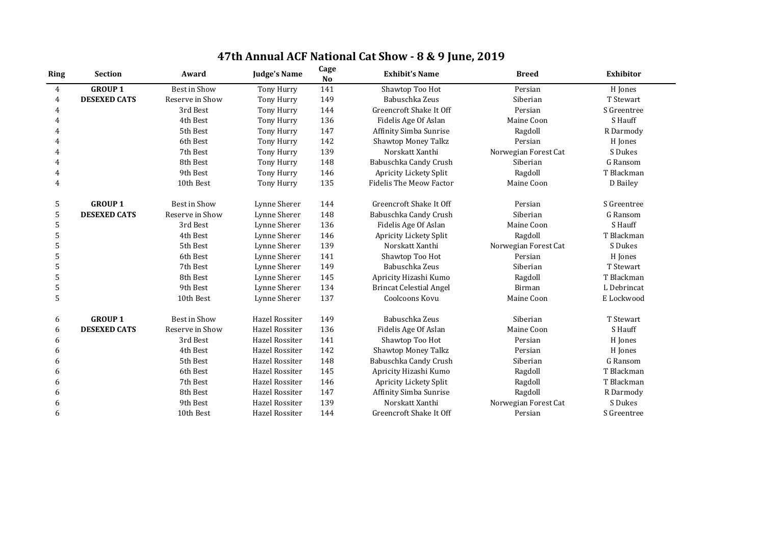| 47th Annual ACF National Cat Show - 8 & 9 June, 2019 |  |
|------------------------------------------------------|--|
|------------------------------------------------------|--|

| <b>Ring</b>    | <b>Section</b>      | Award               | <b>Judge's Name</b>   | Cage<br>N <sub>o</sub> | <b>Exhibit's Name</b>          | <b>Breed</b>         | <b>Exhibitor</b> |
|----------------|---------------------|---------------------|-----------------------|------------------------|--------------------------------|----------------------|------------------|
| $\overline{4}$ | <b>GROUP1</b>       | <b>Best in Show</b> | Tony Hurry            | 141                    | Shawtop Too Hot                | Persian              | H Jones          |
| $\overline{4}$ | <b>DESEXED CATS</b> | Reserve in Show     | Tony Hurry            | 149                    | Babuschka Zeus                 | Siberian             | T Stewart        |
| 4              |                     | 3rd Best            | Tony Hurry            | 144                    | Greencroft Shake It Off        | Persian              | S Greentree      |
| 4              |                     | 4th Best            | Tony Hurry            | 136                    | Fidelis Age Of Aslan           | Maine Coon           | S Hauff          |
| $\overline{4}$ |                     | 5th Best            | Tony Hurry            | 147                    | Affinity Simba Sunrise         | Ragdoll              | R Darmody        |
| 4              |                     | 6th Best            | Tony Hurry            | 142                    | <b>Shawtop Money Talkz</b>     | Persian              | H Jones          |
| 4              |                     | 7th Best            | Tony Hurry            | 139                    | Norskatt Xanthi                | Norwegian Forest Cat | S Dukes          |
| 4              |                     | 8th Best            | Tony Hurry            | 148                    | Babuschka Candy Crush          | Siberian             | G Ransom         |
| 4              |                     | 9th Best            | Tony Hurry            | 146                    | Apricity Lickety Split         | Ragdoll              | T Blackman       |
| $\overline{4}$ |                     | 10th Best           | Tony Hurry            | 135                    | <b>Fidelis The Meow Factor</b> | Maine Coon           | D Bailey         |
| 5              | <b>GROUP1</b>       | <b>Best in Show</b> | Lynne Sherer          | 144                    | Greencroft Shake It Off        | Persian              | S Greentree      |
| 5              | <b>DESEXED CATS</b> | Reserve in Show     | Lynne Sherer          | 148                    | Babuschka Candy Crush          | Siberian             | G Ransom         |
| 5              |                     | 3rd Best            | Lynne Sherer          | 136                    | Fidelis Age Of Aslan           | Maine Coon           | S Hauff          |
| 5              |                     | 4th Best            | Lynne Sherer          | 146                    | Apricity Lickety Split         | Ragdoll              | T Blackman       |
| 5              |                     | 5th Best            | Lynne Sherer          | 139                    | Norskatt Xanthi                | Norwegian Forest Cat | S Dukes          |
| 5              |                     | 6th Best            | Lynne Sherer          | 141                    | Shawtop Too Hot                | Persian              | H Jones          |
| 5              |                     | 7th Best            | Lynne Sherer          | 149                    | Babuschka Zeus                 | Siberian             | T Stewart        |
| 5              |                     | 8th Best            | Lynne Sherer          | 145                    | Apricity Hizashi Kumo          | Ragdoll              | T Blackman       |
| 5              |                     | 9th Best            | Lynne Sherer          | 134                    | <b>Brincat Celestial Angel</b> | Birman               | L Debrincat      |
| 5              |                     | 10th Best           | Lynne Sherer          | 137                    | Coolcoons Kovu                 | Maine Coon           | E Lockwood       |
| 6              | <b>GROUP 1</b>      | <b>Best in Show</b> | <b>Hazel Rossiter</b> | 149                    | Babuschka Zeus                 | Siberian             | T Stewart        |
| 6              | <b>DESEXED CATS</b> | Reserve in Show     | Hazel Rossiter        | 136                    | Fidelis Age Of Aslan           | Maine Coon           | S Hauff          |
| 6              |                     | 3rd Best            | Hazel Rossiter        | 141                    | Shawtop Too Hot                | Persian              | H Jones          |
| 6              |                     | 4th Best            | <b>Hazel Rossiter</b> | 142                    | <b>Shawtop Money Talkz</b>     | Persian              | H Jones          |
| 6              |                     | 5th Best            | Hazel Rossiter        | 148                    | Babuschka Candy Crush          | Siberian             | G Ransom         |
| 6              |                     | 6th Best            | Hazel Rossiter        | 145                    | Apricity Hizashi Kumo          | Ragdoll              | T Blackman       |
| 6              |                     | 7th Best            | Hazel Rossiter        | 146                    | <b>Apricity Lickety Split</b>  | Ragdoll              | T Blackman       |
| 6              |                     | 8th Best            | Hazel Rossiter        | 147                    | Affinity Simba Sunrise         | Ragdoll              | R Darmody        |
| 6              |                     | 9th Best            | <b>Hazel Rossiter</b> | 139                    | Norskatt Xanthi                | Norwegian Forest Cat | S Dukes          |
| 6              |                     | 10th Best           | <b>Hazel Rossiter</b> | 144                    | Greencroft Shake It Off        | Persian              | S Greentree      |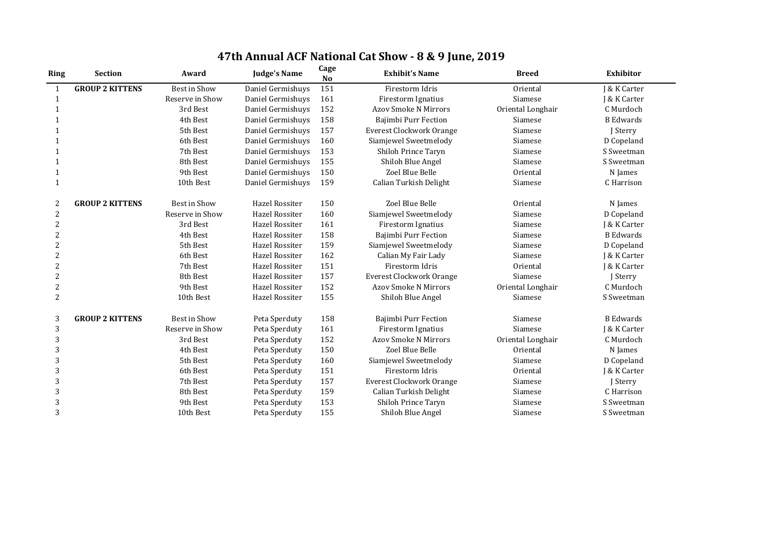| <b>Ring</b>    | <b>Section</b>         | Award               | <b>Judge's Name</b>   | Cage<br><b>No</b> | <b>Exhibit's Name</b>           | <b>Breed</b>      | <b>Exhibitor</b> |
|----------------|------------------------|---------------------|-----------------------|-------------------|---------------------------------|-------------------|------------------|
| $\mathbf{1}$   | <b>GROUP 2 KITTENS</b> | <b>Best in Show</b> | Daniel Germishuys     | 151               | Firestorm Idris                 | Oriental          | I & K Carter     |
| $\mathbf{1}$   |                        | Reserve in Show     | Daniel Germishuys     | 161               | Firestorm Ignatius              | Siamese           | J & K Carter     |
| $\mathbf 1$    |                        | 3rd Best            | Daniel Germishuys     | 152               | <b>Azov Smoke N Mirrors</b>     | Oriental Longhair | C Murdoch        |
|                |                        | 4th Best            | Daniel Germishuys     | 158               | Bajimbi Purr Fection            | Siamese           | <b>B</b> Edwards |
| -1             |                        | 5th Best            | Daniel Germishuys     | 157               | <b>Everest Clockwork Orange</b> | Siamese           | J Sterry         |
|                |                        | 6th Best            | Daniel Germishuys     | 160               | Siamjewel Sweetmelody           | Siamese           | D Copeland       |
|                |                        | 7th Best            | Daniel Germishuys     | 153               | Shiloh Prince Taryn             | Siamese           | S Sweetman       |
| -1             |                        | 8th Best            | Daniel Germishuys     | 155               | Shiloh Blue Angel               | Siamese           | S Sweetman       |
|                |                        | 9th Best            | Daniel Germishuys     | 150               | Zoel Blue Belle                 | Oriental          | N James          |
| $\mathbf{1}$   |                        | 10th Best           | Daniel Germishuys     | 159               | Calian Turkish Delight          | Siamese           | C Harrison       |
| $\overline{2}$ | <b>GROUP 2 KITTENS</b> | <b>Best in Show</b> | <b>Hazel Rossiter</b> | 150               | Zoel Blue Belle                 | Oriental          | N James          |
| $\overline{2}$ |                        | Reserve in Show     | <b>Hazel Rossiter</b> | 160               | Siamjewel Sweetmelody           | Siamese           | D Copeland       |
| $\overline{2}$ |                        | 3rd Best            | Hazel Rossiter        | 161               | Firestorm Ignatius              | Siamese           | J & K Carter     |
| $\overline{2}$ |                        | 4th Best            | <b>Hazel Rossiter</b> | 158               | Bajimbi Purr Fection            | Siamese           | <b>B</b> Edwards |
| $\overline{2}$ |                        | 5th Best            | <b>Hazel Rossiter</b> | 159               | Siamjewel Sweetmelody           | Siamese           | D Copeland       |
| $\overline{2}$ |                        | 6th Best            | <b>Hazel Rossiter</b> | 162               | Calian My Fair Lady             | Siamese           | J & K Carter     |
| $\overline{2}$ |                        | 7th Best            | <b>Hazel Rossiter</b> | 151               | Firestorm Idris                 | Oriental          | J & K Carter     |
| $\overline{2}$ |                        | 8th Best            | Hazel Rossiter        | 157               | <b>Everest Clockwork Orange</b> | Siamese           | J Sterry         |
| $\overline{2}$ |                        | 9th Best            | <b>Hazel Rossiter</b> | 152               | <b>Azov Smoke N Mirrors</b>     | Oriental Longhair | C Murdoch        |
| $\overline{2}$ |                        | 10th Best           | <b>Hazel Rossiter</b> | 155               | Shiloh Blue Angel               | Siamese           | S Sweetman       |
| 3              | <b>GROUP 2 KITTENS</b> | Best in Show        | Peta Sperduty         | 158               | Bajimbi Purr Fection            | Siamese           | <b>B</b> Edwards |
| 3              |                        | Reserve in Show     | Peta Sperduty         | 161               | Firestorm Ignatius              | Siamese           | J & K Carter     |
| 3              |                        | 3rd Best            | Peta Sperduty         | 152               | <b>Azov Smoke N Mirrors</b>     | Oriental Longhair | C Murdoch        |
| $\overline{3}$ |                        | 4th Best            | Peta Sperduty         | 150               | Zoel Blue Belle                 | Oriental          | N James          |
| $\overline{3}$ |                        | 5th Best            | Peta Sperduty         | 160               | Siamjewel Sweetmelody           | Siamese           | D Copeland       |
| 3              |                        | 6th Best            | Peta Sperduty         | 151               | Firestorm Idris                 | Oriental          | J & K Carter     |
| 3              |                        | 7th Best            | Peta Sperduty         | 157               | <b>Everest Clockwork Orange</b> | Siamese           | J Sterry         |
| $\overline{3}$ |                        | 8th Best            | Peta Sperduty         | 159               | Calian Turkish Delight          | Siamese           | C Harrison       |
| 3              |                        | 9th Best            | Peta Sperduty         | 153               | Shiloh Prince Taryn             | Siamese           | S Sweetman       |
| $\overline{3}$ |                        | 10th Best           | Peta Sperduty         | 155               | Shiloh Blue Angel               | Siamese           | S Sweetman       |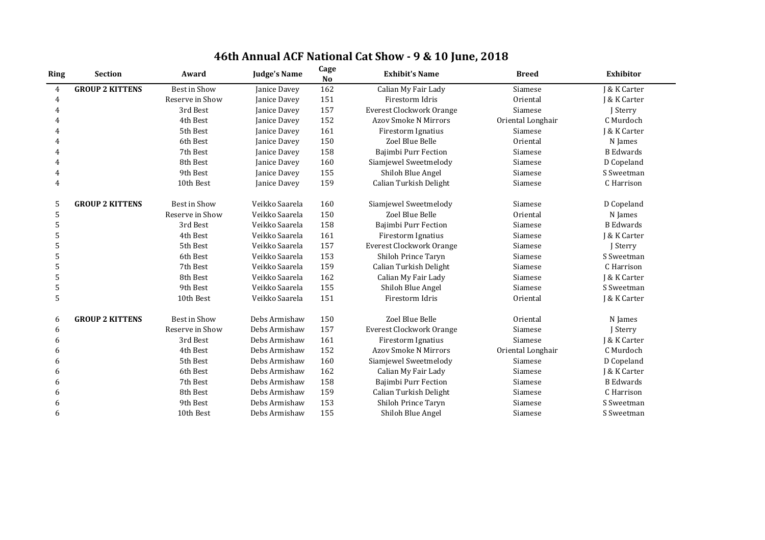| 46th Annual ACF National Cat Show - 9 & 10 June, 2018 |  |  |  |  |  |
|-------------------------------------------------------|--|--|--|--|--|
|-------------------------------------------------------|--|--|--|--|--|

| Ring           | <b>Section</b>         | Award               | <b>Judge's Name</b> | Cage<br><b>No</b> | <b>Exhibit's Name</b>           | <b>Breed</b>      | <b>Exhibitor</b> |
|----------------|------------------------|---------------------|---------------------|-------------------|---------------------------------|-------------------|------------------|
| $\overline{4}$ | <b>GROUP 2 KITTENS</b> | <b>Best in Show</b> | Janice Davey        | 162               | Calian My Fair Lady             | Siamese           | J & K Carter     |
| $\overline{4}$ |                        | Reserve in Show     | Janice Davey        | 151               | Firestorm Idris                 | Oriental          | J & K Carter     |
| 4              |                        | 3rd Best            | Janice Davey        | 157               | <b>Everest Clockwork Orange</b> | Siamese           | J Sterry         |
| $\overline{4}$ |                        | 4th Best            | Janice Davey        | 152               | <b>Azov Smoke N Mirrors</b>     | Oriental Longhair | C Murdoch        |
| 4              |                        | 5th Best            | Janice Davey        | 161               | Firestorm Ignatius              | Siamese           | J & K Carter     |
| $\overline{4}$ |                        | 6th Best            | Janice Davey        | 150               | Zoel Blue Belle                 | Oriental          | N James          |
| 4              |                        | 7th Best            | Janice Davey        | 158               | Bajimbi Purr Fection            | Siamese           | <b>B</b> Edwards |
| 4              |                        | 8th Best            | Janice Davey        | 160               | Siamjewel Sweetmelody           | Siamese           | D Copeland       |
| $\overline{4}$ |                        | 9th Best            | Janice Davey        | 155               | Shiloh Blue Angel               | Siamese           | S Sweetman       |
| 4              |                        | 10th Best           | Janice Davey        | 159               | Calian Turkish Delight          | Siamese           | C Harrison       |
| 5              | <b>GROUP 2 KITTENS</b> | <b>Best in Show</b> | Veikko Saarela      | 160               | Siamjewel Sweetmelody           | Siamese           | D Copeland       |
| 5              |                        | Reserve in Show     | Veikko Saarela      | 150               | Zoel Blue Belle                 | Oriental          | N James          |
| 5              |                        | 3rd Best            | Veikko Saarela      | 158               | Bajimbi Purr Fection            | Siamese           | <b>B</b> Edwards |
| 5              |                        | 4th Best            | Veikko Saarela      | 161               | Firestorm Ignatius              | Siamese           | J & K Carter     |
| 5              |                        | 5th Best            | Veikko Saarela      | 157               | <b>Everest Clockwork Orange</b> | Siamese           | J Sterry         |
| 5              |                        | 6th Best            | Veikko Saarela      | 153               | <b>Shiloh Prince Taryn</b>      | Siamese           | S Sweetman       |
| 5              |                        | 7th Best            | Veikko Saarela      | 159               | Calian Turkish Delight          | Siamese           | C Harrison       |
| 5              |                        | 8th Best            | Veikko Saarela      | 162               | Calian My Fair Lady             | Siamese           | J & K Carter     |
| 5              |                        | 9th Best            | Veikko Saarela      | 155               | Shiloh Blue Angel               | Siamese           | S Sweetman       |
| 5              |                        | 10th Best           | Veikko Saarela      | 151               | Firestorm Idris                 | Oriental          | J & K Carter     |
| 6              | <b>GROUP 2 KITTENS</b> | <b>Best in Show</b> | Debs Armishaw       | 150               | Zoel Blue Belle                 | Oriental          | N James          |
| 6              |                        | Reserve in Show     | Debs Armishaw       | 157               | <b>Everest Clockwork Orange</b> | Siamese           | J Sterry         |
| 6              |                        | 3rd Best            | Debs Armishaw       | 161               | Firestorm Ignatius              | Siamese           | J & K Carter     |
| 6              |                        | 4th Best            | Debs Armishaw       | 152               | <b>Azov Smoke N Mirrors</b>     | Oriental Longhair | C Murdoch        |
| 6              |                        | 5th Best            | Debs Armishaw       | 160               | Siamjewel Sweetmelody           | Siamese           | D Copeland       |
| 6              |                        | 6th Best            | Debs Armishaw       | 162               | Calian My Fair Lady             | Siamese           | J & K Carter     |
| 6              |                        | 7th Best            | Debs Armishaw       | 158               | Bajimbi Purr Fection            | Siamese           | <b>B</b> Edwards |
| 6              |                        | 8th Best            | Debs Armishaw       | 159               | Calian Turkish Delight          | Siamese           | C Harrison       |
| 6              |                        | 9th Best            | Debs Armishaw       | 153               | <b>Shiloh Prince Taryn</b>      | Siamese           | S Sweetman       |
| 6              |                        | 10th Best           | Debs Armishaw       | 155               | Shiloh Blue Angel               | Siamese           | S Sweetman       |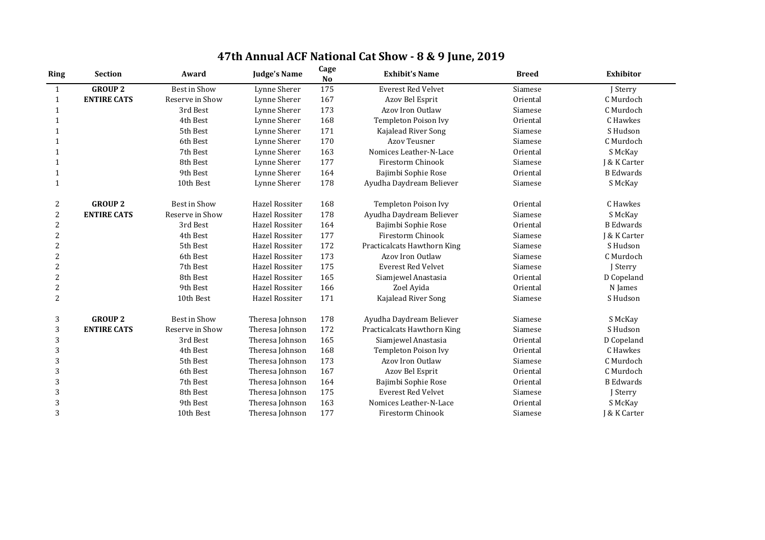| 47th Annual ACF National Cat Show - 8 & 9 June, 2019 |  |
|------------------------------------------------------|--|
|------------------------------------------------------|--|

| <b>Ring</b>    | <b>Section</b>     | Award               | <b>Judge's Name</b>   | Cage<br><b>No</b> | <b>Exhibit's Name</b>       | <b>Breed</b> | <b>Exhibitor</b> |
|----------------|--------------------|---------------------|-----------------------|-------------------|-----------------------------|--------------|------------------|
| $\mathbf{1}$   | <b>GROUP 2</b>     | <b>Best in Show</b> | Lynne Sherer          | 175               | <b>Everest Red Velvet</b>   | Siamese      | J Sterry         |
| 1              | <b>ENTIRE CATS</b> | Reserve in Show     | Lynne Sherer          | 167               | Azov Bel Esprit             | Oriental     | C Murdoch        |
| 1              |                    | 3rd Best            | Lynne Sherer          | 173               | Azov Iron Outlaw            | Siamese      | C Murdoch        |
| 1              |                    | 4th Best            | Lynne Sherer          | 168               | <b>Templeton Poison Ivy</b> | Oriental     | C Hawkes         |
| 1              |                    | 5th Best            | Lynne Sherer          | 171               | Kajalead River Song         | Siamese      | S Hudson         |
| 1              |                    | 6th Best            | Lynne Sherer          | 170               | <b>Azov Teusner</b>         | Siamese      | C Murdoch        |
| 1              |                    | 7th Best            | Lynne Sherer          | 163               | Nomices Leather-N-Lace      | Oriental     | S McKay          |
| 1              |                    | 8th Best            | Lynne Sherer          | 177               | <b>Firestorm Chinook</b>    | Siamese      | J & K Carter     |
| $\mathbf{1}$   |                    | 9th Best            | Lynne Sherer          | 164               | Bajimbi Sophie Rose         | Oriental     | <b>B</b> Edwards |
| 1              |                    | 10th Best           | Lynne Sherer          | 178               | Ayudha Daydream Believer    | Siamese      | S McKay          |
| 2              | <b>GROUP 2</b>     | <b>Best in Show</b> | Hazel Rossiter        | 168               | <b>Templeton Poison Ivy</b> | Oriental     | C Hawkes         |
| $\overline{2}$ | <b>ENTIRE CATS</b> | Reserve in Show     | <b>Hazel Rossiter</b> | 178               | Ayudha Daydream Believer    | Siamese      | S McKay          |
| $\overline{2}$ |                    | 3rd Best            | <b>Hazel Rossiter</b> | 164               | Bajimbi Sophie Rose         | Oriental     | <b>B</b> Edwards |
| $\overline{2}$ |                    | 4th Best            | <b>Hazel Rossiter</b> | 177               | <b>Firestorm Chinook</b>    | Siamese      | J & K Carter     |
| $\overline{2}$ |                    | 5th Best            | <b>Hazel Rossiter</b> | 172               | Practicalcats Hawthorn King | Siamese      | S Hudson         |
| $\overline{2}$ |                    | 6th Best            | <b>Hazel Rossiter</b> | 173               | Azov Iron Outlaw            | Siamese      | C Murdoch        |
| $\overline{2}$ |                    | 7th Best            | Hazel Rossiter        | 175               | <b>Everest Red Velvet</b>   | Siamese      | J Sterry         |
| $\overline{2}$ |                    | 8th Best            | <b>Hazel Rossiter</b> | 165               | Siamjewel Anastasia         | Oriental     | D Copeland       |
| $\overline{2}$ |                    | 9th Best            | <b>Hazel Rossiter</b> | 166               | Zoel Ayida                  | Oriental     | N James          |
| $\overline{2}$ |                    | 10th Best           | Hazel Rossiter        | 171               | Kajalead River Song         | Siamese      | S Hudson         |
| 3              | <b>GROUP 2</b>     | <b>Best in Show</b> | Theresa Johnson       | 178               | Ayudha Daydream Believer    | Siamese      | S McKay          |
| $\mathfrak{Z}$ | <b>ENTIRE CATS</b> | Reserve in Show     | Theresa Johnson       | 172               | Practicalcats Hawthorn King | Siamese      | S Hudson         |
| 3              |                    | 3rd Best            | Theresa Johnson       | 165               | Siamjewel Anastasia         | Oriental     | D Copeland       |
| 3              |                    | 4th Best            | Theresa Johnson       | 168               | <b>Templeton Poison Ivy</b> | Oriental     | C Hawkes         |
| 3              |                    | 5th Best            | Theresa Johnson       | 173               | Azov Iron Outlaw            | Siamese      | C Murdoch        |
| 3              |                    | 6th Best            | Theresa Johnson       | 167               | Azov Bel Esprit             | Oriental     | C Murdoch        |
| 3              |                    | 7th Best            | Theresa Johnson       | 164               | Bajimbi Sophie Rose         | Oriental     | <b>B</b> Edwards |
| 3              |                    | 8th Best            | Theresa Johnson       | 175               | <b>Everest Red Velvet</b>   | Siamese      | J Sterry         |
| 3              |                    | 9th Best            | Theresa Johnson       | 163               | Nomices Leather-N-Lace      | Oriental     | S McKay          |
| $\overline{3}$ |                    | 10th Best           | Theresa Johnson       | 177               | Firestorm Chinook           | Siamese      | J & K Carter     |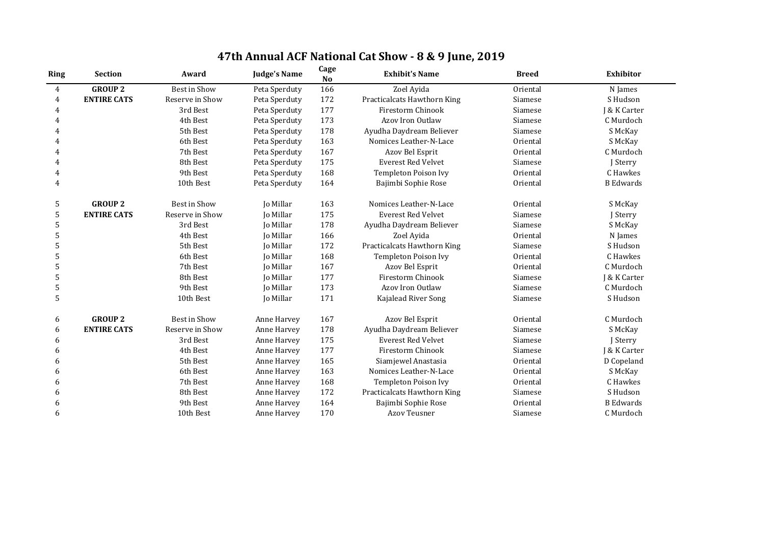| <b>Ring</b>    | <b>Section</b>     | Award               | <b>Judge's Name</b> | Cage<br><b>No</b> | <b>Exhibit's Name</b>       | <b>Breed</b> | <b>Exhibitor</b> |
|----------------|--------------------|---------------------|---------------------|-------------------|-----------------------------|--------------|------------------|
| $\overline{4}$ | <b>GROUP 2</b>     | <b>Best in Show</b> | Peta Sperduty       | 166               | Zoel Ayida                  | Oriental     | N James          |
| 4              | <b>ENTIRE CATS</b> | Reserve in Show     | Peta Sperduty       | 172               | Practicalcats Hawthorn King | Siamese      | S Hudson         |
| 4              |                    | 3rd Best            | Peta Sperduty       | 177               | Firestorm Chinook           | Siamese      | J & K Carter     |
| 4              |                    | 4th Best            | Peta Sperduty       | 173               | Azov Iron Outlaw            | Siamese      | C Murdoch        |
| 4              |                    | 5th Best            | Peta Sperduty       | 178               | Ayudha Daydream Believer    | Siamese      | S McKay          |
|                |                    | 6th Best            | Peta Sperduty       | 163               | Nomices Leather-N-Lace      | Oriental     | S McKay          |
| 4              |                    | 7th Best            | Peta Sperduty       | 167               | Azov Bel Esprit             | Oriental     | C Murdoch        |
| 4              |                    | 8th Best            | Peta Sperduty       | 175               | <b>Everest Red Velvet</b>   | Siamese      | J Sterry         |
| 4              |                    | 9th Best            | Peta Sperduty       | 168               | <b>Templeton Poison Ivy</b> | Oriental     | C Hawkes         |
| $\overline{4}$ |                    | 10th Best           | Peta Sperduty       | 164               | Bajimbi Sophie Rose         | Oriental     | <b>B</b> Edwards |
| 5              | <b>GROUP 2</b>     | <b>Best in Show</b> | Jo Millar           | 163               | Nomices Leather-N-Lace      | Oriental     | S McKay          |
| 5              | <b>ENTIRE CATS</b> | Reserve in Show     | <b>Jo Millar</b>    | 175               | <b>Everest Red Velvet</b>   | Siamese      | J Sterry         |
| 5              |                    | 3rd Best            | Jo Millar           | 178               | Ayudha Daydream Believer    | Siamese      | S McKay          |
| 5              |                    | 4th Best            | <b>Jo Millar</b>    | 166               | Zoel Ayida                  | Oriental     | N James          |
| 5              |                    | 5th Best            | Jo Millar           | 172               | Practicalcats Hawthorn King | Siamese      | S Hudson         |
| 5              |                    | 6th Best            | <b>Jo Millar</b>    | 168               | <b>Templeton Poison Ivy</b> | Oriental     | C Hawkes         |
| 5              |                    | 7th Best            | Jo Millar           | 167               | Azov Bel Esprit             | Oriental     | C Murdoch        |
| 5              |                    | 8th Best            | Jo Millar           | 177               | <b>Firestorm Chinook</b>    | Siamese      | J & K Carter     |
| 5              |                    | 9th Best            | Jo Millar           | 173               | <b>Azov Iron Outlaw</b>     | Siamese      | C Murdoch        |
| 5              |                    | 10th Best           | Jo Millar           | 171               | Kajalead River Song         | Siamese      | S Hudson         |
| 6              | <b>GROUP 2</b>     | <b>Best in Show</b> | Anne Harvey         | 167               | Azov Bel Esprit             | Oriental     | C Murdoch        |
| 6              | <b>ENTIRE CATS</b> | Reserve in Show     | Anne Harvey         | 178               | Ayudha Daydream Believer    | Siamese      | S McKay          |
| 6              |                    | 3rd Best            | Anne Harvey         | 175               | <b>Everest Red Velvet</b>   | Siamese      | J Sterry         |
| 6              |                    | 4th Best            | Anne Harvey         | 177               | Firestorm Chinook           | Siamese      | J & K Carter     |
| 6              |                    | 5th Best            | Anne Harvey         | 165               | Siamjewel Anastasia         | Oriental     | D Copeland       |
| 6              |                    | 6th Best            | Anne Harvey         | 163               | Nomices Leather-N-Lace      | Oriental     | S McKay          |
| $\mathsf{h}$   |                    | 7th Best            | Anne Harvey         | 168               | <b>Templeton Poison Ivy</b> | Oriental     | C Hawkes         |
| 6              |                    | 8th Best            | <b>Anne Harvey</b>  | 172               | Practicalcats Hawthorn King | Siamese      | S Hudson         |
| 6              |                    | 9th Best            | Anne Harvey         | 164               | Bajimbi Sophie Rose         | Oriental     | <b>B</b> Edwards |
| 6              |                    | 10th Best           | Anne Harvey         | 170               | <b>Azov Teusner</b>         | Siamese      | C Murdoch        |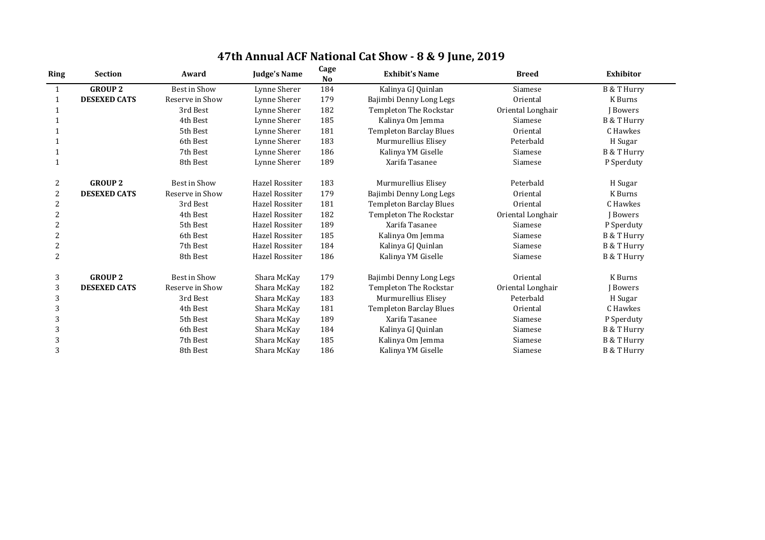| Ring           | <b>Section</b>      | Award               | <b>Judge's Name</b>   | Cage<br><b>No</b> | <b>Exhibit's Name</b>          | <b>Breed</b>      | <b>Exhibitor</b>       |
|----------------|---------------------|---------------------|-----------------------|-------------------|--------------------------------|-------------------|------------------------|
|                | <b>GROUP 2</b>      | Best in Show        | Lynne Sherer          | 184               | Kalinya GJ Quinlan             | Siamese           | <b>B &amp; T Hurry</b> |
|                | <b>DESEXED CATS</b> | Reserve in Show     | Lynne Sherer          | 179               | Bajimbi Denny Long Legs        | Oriental          | <b>K</b> Burns         |
|                |                     | 3rd Best            | Lynne Sherer          | 182               | <b>Templeton The Rockstar</b>  | Oriental Longhair | <b>J</b> Bowers        |
|                |                     | 4th Best            | Lynne Sherer          | 185               | Kalinya Om Jemma               | Siamese           | <b>B &amp; T Hurry</b> |
|                |                     | 5th Best            | Lynne Sherer          | 181               | <b>Templeton Barclay Blues</b> | Oriental          | C Hawkes               |
|                |                     | 6th Best            | Lynne Sherer          | 183               | Murmurellius Elisey            | Peterbald         | H Sugar                |
|                |                     | 7th Best            | Lynne Sherer          | 186               | Kalinya YM Giselle             | Siamese           | <b>B &amp; T Hurry</b> |
|                |                     | 8th Best            | Lynne Sherer          | 189               | Xarifa Tasanee                 | Siamese           | P Sperduty             |
| 2              | <b>GROUP 2</b>      | <b>Best in Show</b> | <b>Hazel Rossiter</b> | 183               | Murmurellius Elisey            | Peterbald         | H Sugar                |
| $\overline{2}$ | <b>DESEXED CATS</b> | Reserve in Show     | <b>Hazel Rossiter</b> | 179               | Bajimbi Denny Long Legs        | Oriental          | <b>K</b> Burns         |
| $\overline{2}$ |                     | 3rd Best            | <b>Hazel Rossiter</b> | 181               | <b>Templeton Barclay Blues</b> | Oriental          | C Hawkes               |
| 2              |                     | 4th Best            | <b>Hazel Rossiter</b> | 182               | <b>Templeton The Rockstar</b>  | Oriental Longhair | J Bowers               |
| 2              |                     | 5th Best            | <b>Hazel Rossiter</b> | 189               | Xarifa Tasanee                 | Siamese           | P Sperduty             |
| $\overline{2}$ |                     | 6th Best            | <b>Hazel Rossiter</b> | 185               | Kalinya Om Jemma               | Siamese           | <b>B &amp; T Hurry</b> |
| $\overline{2}$ |                     | 7th Best            | <b>Hazel Rossiter</b> | 184               | Kalinya GJ Quinlan             | Siamese           | <b>B &amp; T Hurry</b> |
| $\overline{2}$ |                     | 8th Best            | <b>Hazel Rossiter</b> | 186               | Kalinya YM Giselle             | Siamese           | <b>B &amp; T Hurry</b> |
| 3              | <b>GROUP 2</b>      | Best in Show        | Shara McKay           | 179               | Bajimbi Denny Long Legs        | Oriental          | <b>K</b> Burns         |
| 3              | <b>DESEXED CATS</b> | Reserve in Show     | Shara McKay           | 182               | <b>Templeton The Rockstar</b>  | Oriental Longhair | J Bowers               |
| 3              |                     | 3rd Best            | Shara McKay           | 183               | Murmurellius Elisey            | Peterbald         | H Sugar                |
| 3              |                     | 4th Best            | Shara McKay           | 181               | <b>Templeton Barclay Blues</b> | Oriental          | C Hawkes               |
| 3              |                     | 5th Best            | Shara McKay           | 189               | Xarifa Tasanee                 | Siamese           | P Sperduty             |
| 3              |                     | 6th Best            | Shara McKay           | 184               | Kalinya GJ Quinlan             | Siamese           | <b>B &amp; T Hurry</b> |
| 3              |                     | 7th Best            | Shara McKay           | 185               | Kalinya Om Jemma               | Siamese           | <b>B &amp; T Hurry</b> |
| 3              |                     | 8th Best            | Shara McKay           | 186               | Kalinya YM Giselle             | Siamese           | <b>B &amp; T Hurry</b> |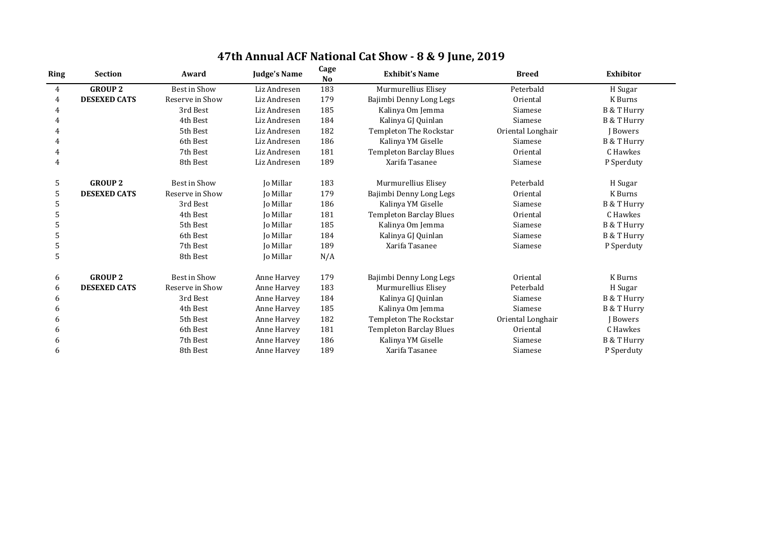| Ring           | <b>Section</b>      | Award               | <b>Judge's Name</b> | Cage<br>N <sub>o</sub> | <b>Exhibit's Name</b>          | <b>Breed</b>      | Exhibitor              |
|----------------|---------------------|---------------------|---------------------|------------------------|--------------------------------|-------------------|------------------------|
| $\overline{4}$ | <b>GROUP 2</b>      | <b>Best in Show</b> | Liz Andresen        | 183                    | Murmurellius Elisey            | Peterbald         | H Sugar                |
| 4              | <b>DESEXED CATS</b> | Reserve in Show     | Liz Andresen        | 179                    | Bajimbi Denny Long Legs        | Oriental          | K Burns                |
|                |                     | 3rd Best            | Liz Andresen        | 185                    | Kalinya Om Jemma               | Siamese           | B & T Hurry            |
|                |                     | 4th Best            | Liz Andresen        | 184                    | Kalinya GJ Quinlan             | Siamese           | <b>B &amp; T Hurry</b> |
|                |                     | 5th Best            | Liz Andresen        | 182                    | <b>Templeton The Rockstar</b>  | Oriental Longhair | Bowers                 |
|                |                     | 6th Best            | Liz Andresen        | 186                    | Kalinya YM Giselle             | Siamese           | <b>B &amp; T Hurry</b> |
|                |                     | 7th Best            | Liz Andresen        | 181                    | <b>Templeton Barclay Blues</b> | Oriental          | C Hawkes               |
|                |                     | 8th Best            | Liz Andresen        | 189                    | Xarifa Tasanee                 | Siamese           | P Sperduty             |
| 5              | <b>GROUP 2</b>      | Best in Show        | Jo Millar           | 183                    | Murmurellius Elisey            | Peterbald         | H Sugar                |
| 5              | <b>DESEXED CATS</b> | Reserve in Show     | Jo Millar           | 179                    | Bajimbi Denny Long Legs        | Oriental          | K Burns                |
| 5              |                     | 3rd Best            | Jo Millar           | 186                    | Kalinya YM Giselle             | Siamese           | <b>B &amp; T Hurry</b> |
|                |                     | 4th Best            | <b>Jo Millar</b>    | 181                    | <b>Templeton Barclay Blues</b> | Oriental          | C Hawkes               |
| 5              |                     | 5th Best            | <b>Jo Millar</b>    | 185                    | Kalinya Om Jemma               | Siamese           | <b>B &amp; T Hurry</b> |
| 5              |                     | 6th Best            | Jo Millar           | 184                    | Kalinya GJ Quinlan             | Siamese           | <b>B &amp; T Hurry</b> |
| 5              |                     | 7th Best            | Jo Millar           | 189                    | Xarifa Tasanee                 | Siamese           | P Sperduty             |
| 5              |                     | 8th Best            | <b>Jo Millar</b>    | N/A                    |                                |                   |                        |
| 6              | <b>GROUP 2</b>      | Best in Show        | Anne Harvey         | 179                    | Bajimbi Denny Long Legs        | Oriental          | K Burns                |
| 6              | <b>DESEXED CATS</b> | Reserve in Show     | Anne Harvey         | 183                    | Murmurellius Elisey            | Peterbald         | H Sugar                |
| 6              |                     | 3rd Best            | Anne Harvey         | 184                    | Kalinya GJ Quinlan             | Siamese           | B & T Hurry            |
| 6              |                     | 4th Best            | Anne Harvey         | 185                    | Kalinya Om Jemma               | Siamese           | <b>B &amp; T Hurry</b> |
| 6              |                     | 5th Best            | Anne Harvey         | 182                    | <b>Templeton The Rockstar</b>  | Oriental Longhair | Bowers                 |
| h              |                     | 6th Best            | Anne Harvey         | 181                    | <b>Templeton Barclay Blues</b> | Oriental          | C Hawkes               |
| 6              |                     | 7th Best            | Anne Harvey         | 186                    | Kalinya YM Giselle             | Siamese           | <b>B &amp; T Hurry</b> |
| 6              |                     | 8th Best            | Anne Harvey         | 189                    | Xarifa Tasanee                 | Siamese           | P Sperduty             |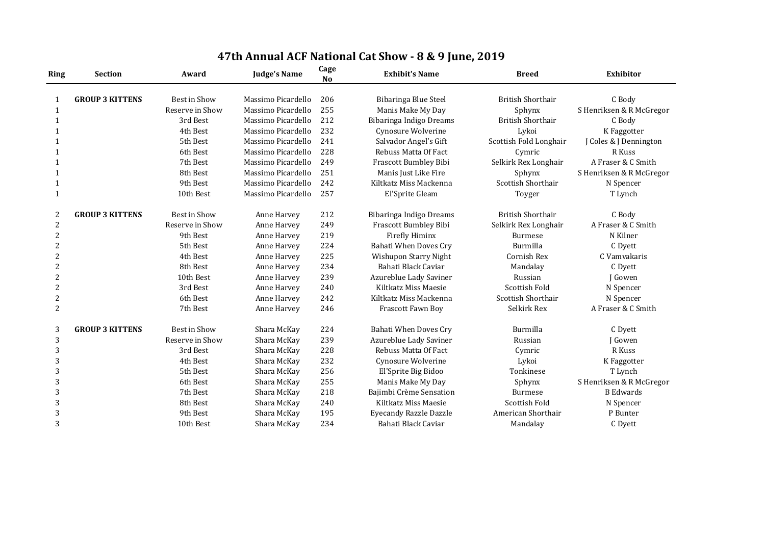| <b>Ring</b>    | <b>Section</b>         | Award               | <b>Judge's Name</b> | Cage<br><b>No</b> | <b>Exhibit's Name</b>         | <b>Breed</b>             | <b>Exhibitor</b>         |
|----------------|------------------------|---------------------|---------------------|-------------------|-------------------------------|--------------------------|--------------------------|
|                | <b>GROUP 3 KITTENS</b> | <b>Best in Show</b> | Massimo Picardello  | 206               | <b>Bibaringa Blue Steel</b>   | <b>British Shorthair</b> | C Body                   |
| $\mathbf{1}$   |                        | Reserve in Show     | Massimo Picardello  | 255               | Manis Make My Day             | Sphynx                   | S Henriksen & R McGregor |
| 1              |                        | 3rd Best            | Massimo Picardello  | 212               | Bibaringa Indigo Dreams       | <b>British Shorthair</b> | C Body                   |
|                |                        | 4th Best            | Massimo Picardello  | 232               | Cynosure Wolverine            | Lykoi                    | K Faggotter              |
|                |                        | 5th Best            | Massimo Picardello  | 241               | Salvador Angel's Gift         | Scottish Fold Longhair   | J Coles & J Dennington   |
|                |                        | 6th Best            | Massimo Picardello  | 228               | Rebuss Matta Of Fact          | Cymric                   | R Kuss                   |
|                |                        | 7th Best            | Massimo Picardello  | 249               | Frascott Bumbley Bibi         | Selkirk Rex Longhair     | A Fraser & C Smith       |
|                |                        | 8th Best            | Massimo Picardello  | 251               | Manis Just Like Fire          | Sphynx                   | S Henriksen & R McGregor |
| 1              |                        | 9th Best            | Massimo Picardello  | 242               | Kiltkatz Miss Mackenna        | Scottish Shorthair       | N Spencer                |
| $\mathbf{1}$   |                        | 10th Best           | Massimo Picardello  | 257               | El'Sprite Gleam               | Toyger                   | T Lynch                  |
| 2              | <b>GROUP 3 KITTENS</b> | <b>Best in Show</b> | Anne Harvey         | 212               | Bibaringa Indigo Dreams       | <b>British Shorthair</b> | C Body                   |
| $\overline{2}$ |                        | Reserve in Show     | Anne Harvey         | 249               | <b>Frascott Bumbley Bibi</b>  | Selkirk Rex Longhair     | A Fraser & C Smith       |
| $\overline{2}$ |                        | 9th Best            | Anne Harvey         | 219               | <b>Firefly Himinx</b>         | <b>Burmese</b>           | N Kilner                 |
| $\overline{2}$ |                        | 5th Best            | Anne Harvey         | 224               | <b>Bahati When Doves Cry</b>  | Burmilla                 | C Dyett                  |
| $\overline{2}$ |                        | 4th Best            | Anne Harvey         | 225               | <b>Wishupon Starry Night</b>  | <b>Cornish Rex</b>       | C Vamvakaris             |
| $\overline{2}$ |                        | 8th Best            | Anne Harvey         | 234               | Bahati Black Caviar           | Mandalay                 | C Dyett                  |
| 2              |                        | 10th Best           | Anne Harvey         | 239               | Azureblue Lady Saviner        | Russian                  | J Gowen                  |
| $\overline{2}$ |                        | 3rd Best            | Anne Harvey         | 240               | Kiltkatz Miss Maesie          | <b>Scottish Fold</b>     | N Spencer                |
| $\overline{2}$ |                        | 6th Best            | Anne Harvey         | 242               | Kiltkatz Miss Mackenna        | Scottish Shorthair       | N Spencer                |
| $\overline{2}$ |                        | 7th Best            | Anne Harvey         | 246               | Frascott Fawn Boy             | Selkirk Rex              | A Fraser & C Smith       |
| 3              | <b>GROUP 3 KITTENS</b> | <b>Best in Show</b> | Shara McKay         | 224               | <b>Bahati When Doves Cry</b>  | Burmilla                 | C Dyett                  |
| 3              |                        | Reserve in Show     | Shara McKay         | 239               | Azureblue Lady Saviner        | Russian                  | J Gowen                  |
| 3              |                        | 3rd Best            | Shara McKay         | 228               | Rebuss Matta Of Fact          | Cymric                   | R Kuss                   |
| 3              |                        | 4th Best            | Shara McKay         | 232               | Cynosure Wolverine            | Lykoi                    | K Faggotter              |
| 3              |                        | 5th Best            | Shara McKay         | 256               | El'Sprite Big Bidoo           | Tonkinese                | T Lynch                  |
| 3              |                        | 6th Best            | Shara McKay         | 255               | Manis Make My Day             | Sphynx                   | S Henriksen & R McGregor |
| $\overline{3}$ |                        | 7th Best            | Shara McKay         | 218               | Bajimbi Crème Sensation       | <b>Burmese</b>           | <b>B</b> Edwards         |
| 3              |                        | 8th Best            | Shara McKay         | 240               | Kiltkatz Miss Maesie          | <b>Scottish Fold</b>     | N Spencer                |
| 3              |                        | 9th Best            | Shara McKay         | 195               | <b>Eyecandy Razzle Dazzle</b> | American Shorthair       | P Bunter                 |
| 3              |                        | 10th Best           | Shara McKay         | 234               | Bahati Black Caviar           | Mandalay                 | C Dyett                  |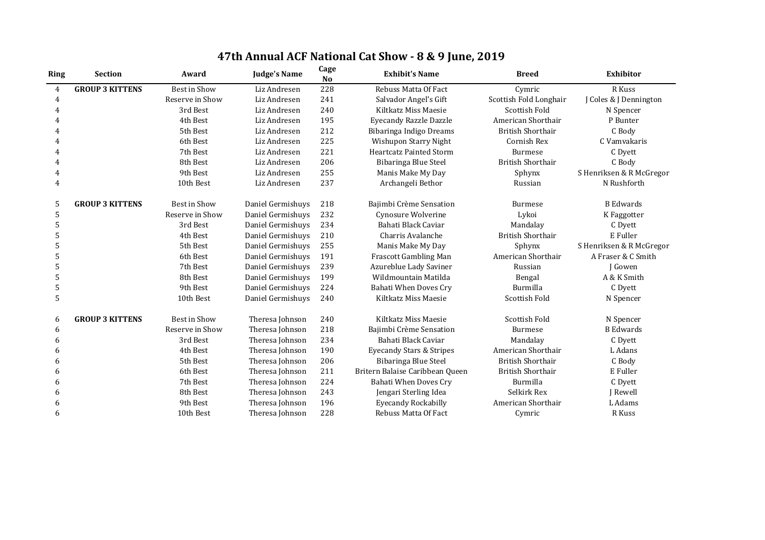| 47th Annual ACF National Cat Show - 8 & 9 June, 2019 |  |
|------------------------------------------------------|--|
|------------------------------------------------------|--|

| <b>Ring</b>    | <b>Section</b>         | Award               | <b>Judge's Name</b> | Cage<br><b>No</b> | <b>Exhibit's Name</b>               | <b>Breed</b>             | <b>Exhibitor</b>         |
|----------------|------------------------|---------------------|---------------------|-------------------|-------------------------------------|--------------------------|--------------------------|
| 4              | <b>GROUP 3 KITTENS</b> | Best in Show        | Liz Andresen        | 228               | <b>Rebuss Matta Of Fact</b>         | Cymric                   | R Kuss                   |
| 4              |                        | Reserve in Show     | Liz Andresen        | 241               | Salvador Angel's Gift               | Scottish Fold Longhair   | J Coles & J Dennington   |
| 4              |                        | 3rd Best            | Liz Andresen        | 240               | Kiltkatz Miss Maesie                | <b>Scottish Fold</b>     | N Spencer                |
|                |                        | 4th Best            | Liz Andresen        | 195               | <b>Eyecandy Razzle Dazzle</b>       | American Shorthair       | P Bunter                 |
|                |                        | 5th Best            | Liz Andresen        | 212               | Bibaringa Indigo Dreams             | <b>British Shorthair</b> | C Body                   |
|                |                        | 6th Best            | Liz Andresen        | 225               | Wishupon Starry Night               | Cornish Rex              | C Vamvakaris             |
| 4              |                        | 7th Best            | Liz Andresen        | 221               | <b>Heartcatz Painted Storm</b>      | <b>Burmese</b>           | C Dyett                  |
| $\overline{4}$ |                        | 8th Best            | Liz Andresen        | 206               | Bibaringa Blue Steel                | <b>British Shorthair</b> | C Body                   |
| 4              |                        | 9th Best            | Liz Andresen        | 255               | Manis Make My Day                   | Sphynx                   | S Henriksen & R McGregor |
| 4              |                        | 10th Best           | Liz Andresen        | 237               | Archangeli Bethor                   | Russian                  | N Rushforth              |
| 5              | <b>GROUP 3 KITTENS</b> | <b>Best in Show</b> | Daniel Germishuys   | 218               | Bajimbi Crème Sensation             | <b>Burmese</b>           | <b>B</b> Edwards         |
| 5              |                        | Reserve in Show     | Daniel Germishuys   | 232               | Cynosure Wolverine                  | Lykoi                    | K Faggotter              |
| 5              |                        | 3rd Best            | Daniel Germishuys   | 234               | Bahati Black Caviar                 | Mandalay                 | C Dyett                  |
| 5              |                        | 4th Best            | Daniel Germishuys   | 210               | Charris Avalanche                   | <b>British Shorthair</b> | E Fuller                 |
| 5              |                        | 5th Best            | Daniel Germishuys   | 255               | Manis Make My Day                   | Sphynx                   | S Henriksen & R McGregor |
| 5              |                        | 6th Best            | Daniel Germishuys   | 191               | <b>Frascott Gambling Man</b>        | American Shorthair       | A Fraser & C Smith       |
| 5              |                        | 7th Best            | Daniel Germishuys   | 239               | Azureblue Lady Saviner              | Russian                  | J Gowen                  |
| 5              |                        | 8th Best            | Daniel Germishuys   | 199               | Wildmountain Matilda                | Bengal                   | A & K Smith              |
| 5              |                        | 9th Best            | Daniel Germishuys   | 224               | <b>Bahati When Doves Cry</b>        | Burmilla                 | C Dyett                  |
| 5              |                        | 10th Best           | Daniel Germishuys   | 240               | Kiltkatz Miss Maesie                | Scottish Fold            | N Spencer                |
| 6              | <b>GROUP 3 KITTENS</b> | <b>Best in Show</b> | Theresa Johnson     | 240               | Kiltkatz Miss Maesie                | <b>Scottish Fold</b>     | N Spencer                |
| 6              |                        | Reserve in Show     | Theresa Johnson     | 218               | Bajimbi Crème Sensation             | <b>Burmese</b>           | <b>B</b> Edwards         |
| 6              |                        | 3rd Best            | Theresa Johnson     | 234               | Bahati Black Caviar                 | Mandalay                 | C Dyett                  |
| 6              |                        | 4th Best            | Theresa Johnson     | 190               | <b>Eyecandy Stars &amp; Stripes</b> | American Shorthair       | L Adans                  |
| 6              |                        | 5th Best            | Theresa Johnson     | 206               | <b>Bibaringa Blue Steel</b>         | <b>British Shorthair</b> | C Body                   |
| 6              |                        | 6th Best            | Theresa Johnson     | 211               | Britern Balaise Caribbean Queen     | <b>British Shorthair</b> | E Fuller                 |
| 6              |                        | 7th Best            | Theresa Johnson     | 224               | <b>Bahati When Doves Cry</b>        | Burmilla                 | C Dyett                  |
| h              |                        | 8th Best            | Theresa Johnson     | 243               | Jengari Sterling Idea               | Selkirk Rex              | J Rewell                 |
|                |                        | 9th Best            | Theresa Johnson     | 196               | <b>Eyecandy Rockabilly</b>          | American Shorthair       | L Adams                  |
|                |                        | 10th Best           | Theresa Johnson     | 228               | <b>Rebuss Matta Of Fact</b>         | Cymric                   | R Kuss                   |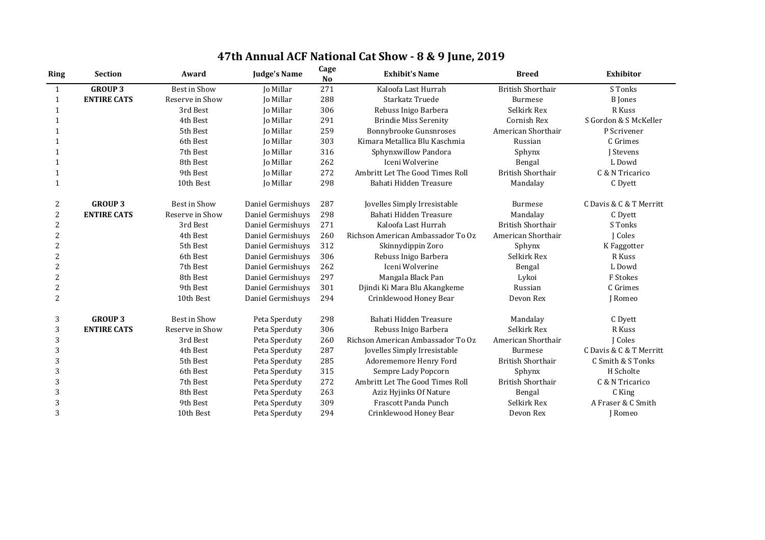| <b>Ring</b>    | <b>Section</b>     | Award               | <b>Judge's Name</b> | Cage<br><b>No</b> | <b>Exhibit's Name</b>             | <b>Breed</b>             | <b>Exhibitor</b>        |
|----------------|--------------------|---------------------|---------------------|-------------------|-----------------------------------|--------------------------|-------------------------|
| $\mathbf{1}$   | <b>GROUP 3</b>     | <b>Best in Show</b> | Jo Millar           | 271               | Kaloofa Last Hurrah               | <b>British Shorthair</b> | S Tonks                 |
| 1              | <b>ENTIRE CATS</b> | Reserve in Show     | <b>Jo Millar</b>    | 288               | Starkatz Truede                   | <b>Burmese</b>           | <b>B</b> Jones          |
|                |                    | 3rd Best            | Jo Millar           | 306               | Rebuss Inigo Barbera              | Selkirk Rex              | R Kuss                  |
|                |                    | 4th Best            | Jo Millar           | 291               | <b>Brindie Miss Serenity</b>      | <b>Cornish Rex</b>       | S Gordon & S McKeller   |
| 1              |                    | 5th Best            | <b>Jo Millar</b>    | 259               | <b>Bonnybrooke Gunsnroses</b>     | American Shorthair       | P Scrivener             |
|                |                    | 6th Best            | Jo Millar           | 303               | Kimara Metallica Blu Kaschmia     | Russian                  | C Grimes                |
|                |                    | 7th Best            | <b>Jo Millar</b>    | 316               | Sphynxwillow Pandora              | Sphynx                   | J Stevens               |
|                |                    | 8th Best            | <b>Jo Millar</b>    | 262               | Iceni Wolverine                   | Bengal                   | L Dowd                  |
|                |                    | 9th Best            | Jo Millar           | 272               | Ambritt Let The Good Times Roll   | <b>British Shorthair</b> | C & N Tricarico         |
|                |                    | 10th Best           | Jo Millar           | 298               | Bahati Hidden Treasure            | Mandalay                 | C Dyett                 |
| 2              | <b>GROUP 3</b>     | <b>Best in Show</b> | Daniel Germishuys   | 287               | Jovelles Simply Irresistable      | Burmese                  | C Davis & C & T Merritt |
| 2              | <b>ENTIRE CATS</b> | Reserve in Show     | Daniel Germishuys   | 298               | Bahati Hidden Treasure            | Mandalay                 | C Dyett                 |
|                |                    | 3rd Best            | Daniel Germishuys   | 271               | Kaloofa Last Hurrah               | <b>British Shorthair</b> | S Tonks                 |
|                |                    | 4th Best            | Daniel Germishuys   | 260               | Richson American Ambassador To Oz | American Shorthair       | J Coles                 |
| 2              |                    | 5th Best            | Daniel Germishuys   | 312               | Skinnydippin Zoro                 | Sphynx                   | K Faggotter             |
| $\overline{2}$ |                    | 6th Best            | Daniel Germishuys   | 306               | Rebuss Inigo Barbera              | Selkirk Rex              | R Kuss                  |
| 2              |                    | 7th Best            | Daniel Germishuys   | 262               | Iceni Wolverine                   | Bengal                   | L Dowd                  |
|                |                    | 8th Best            | Daniel Germishuys   | 297               | Mangala Black Pan                 | Lykoi                    | F Stokes                |
| 2              |                    | 9th Best            | Daniel Germishuys   | 301               | Djindi Ki Mara Blu Akangkeme      | Russian                  | C Grimes                |
| $\overline{2}$ |                    | 10th Best           | Daniel Germishuys   | 294               | Crinklewood Honey Bear            | Devon Rex                | J Romeo                 |
| 3              | <b>GROUP 3</b>     | <b>Best in Show</b> | Peta Sperduty       | 298               | Bahati Hidden Treasure            | Mandalay                 | C Dyett                 |
| 3              | <b>ENTIRE CATS</b> | Reserve in Show     | Peta Sperduty       | 306               | Rebuss Inigo Barbera              | Selkirk Rex              | R Kuss                  |
| 3              |                    | 3rd Best            | Peta Sperduty       | 260               | Richson American Ambassador To Oz | American Shorthair       | J Coles                 |
| 3              |                    | 4th Best            | Peta Sperduty       | 287               | Jovelles Simply Irresistable      | <b>Burmese</b>           | C Davis & C & T Merritt |
| 3              |                    | 5th Best            | Peta Sperduty       | 285               | Adorememore Henry Ford            | <b>British Shorthair</b> | C Smith & S Tonks       |
| 3              |                    | 6th Best            | Peta Sperduty       | 315               | Sempre Lady Popcorn               | Sphynx                   | H Scholte               |
| 3              |                    | 7th Best            | Peta Sperduty       | 272               | Ambritt Let The Good Times Roll   | <b>British Shorthair</b> | C & N Tricarico         |
| 3              |                    | 8th Best            | Peta Sperduty       | 263               | Aziz Hyjinks Of Nature            | Bengal                   | C King                  |
| 3              |                    | 9th Best            | Peta Sperduty       | 309               | Frascott Panda Punch              | Selkirk Rex              | A Fraser & C Smith      |
| 3              |                    | 10th Best           | Peta Sperduty       | 294               | Crinklewood Honey Bear            | Devon Rex                | J Romeo                 |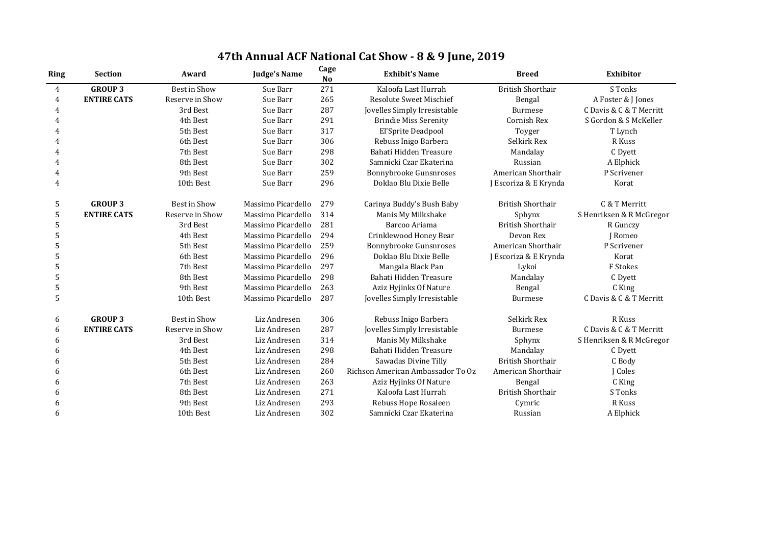| <b>Ring</b>    | <b>Section</b>     | Award               | <b>Judge's Name</b> | Cage<br>N <sub>o</sub> | <b>Exhibit's Name</b>             | <b>Breed</b>             | <b>Exhibitor</b>         |
|----------------|--------------------|---------------------|---------------------|------------------------|-----------------------------------|--------------------------|--------------------------|
| $\overline{4}$ | <b>GROUP 3</b>     | <b>Best in Show</b> | Sue Barr            | 271                    | Kaloofa Last Hurrah               | <b>British Shorthair</b> | S Tonks                  |
| 4              | <b>ENTIRE CATS</b> | Reserve in Show     | Sue Barr            | 265                    | <b>Resolute Sweet Mischief</b>    | Bengal                   | A Foster & J Jones       |
| 4              |                    | 3rd Best            | Sue Barr            | 287                    | Jovelles Simply Irresistable      | <b>Burmese</b>           | C Davis & C & T Merritt  |
| 4              |                    | 4th Best            | Sue Barr            | 291                    | <b>Brindie Miss Serenity</b>      | Cornish Rex              | S Gordon & S McKeller    |
| 4              |                    | 5th Best            | Sue Barr            | 317                    | El'Sprite Deadpool                | Toyger                   | T Lynch                  |
| 4              |                    | 6th Best            | Sue Barr            | 306                    | Rebuss Inigo Barbera              | Selkirk Rex              | R Kuss                   |
| 4              |                    | 7th Best            | Sue Barr            | 298                    | Bahati Hidden Treasure            | Mandalay                 | C Dyett                  |
| 4              |                    | 8th Best            | Sue Barr            | 302                    | Samnicki Czar Ekaterina           | Russian                  | A Elphick                |
| 4              |                    | 9th Best            | Sue Barr            | 259                    | <b>Bonnybrooke Gunsnroses</b>     | American Shorthair       | P Scrivener              |
| 4              |                    | 10th Best           | Sue Barr            | 296                    | Doklao Blu Dixie Belle            | J Escoriza & E Krynda    | Korat                    |
| 5              | <b>GROUP 3</b>     | <b>Best in Show</b> | Massimo Picardello  | 279                    | Carinya Buddy's Bush Baby         | <b>British Shorthair</b> | C & T Merritt            |
| 5              | <b>ENTIRE CATS</b> | Reserve in Show     | Massimo Picardello  | 314                    | Manis My Milkshake                | Sphynx                   | S Henriksen & R McGregor |
| 5              |                    | 3rd Best            | Massimo Picardello  | 281                    | Barcoo Ariama                     | <b>British Shorthair</b> | R Gunczy                 |
| 5              |                    | 4th Best            | Massimo Picardello  | 294                    | Crinklewood Honey Bear            | Devon Rex                | J Romeo                  |
| 5              |                    | 5th Best            | Massimo Picardello  | 259                    | Bonnybrooke Gunsnroses            | American Shorthair       | P Scrivener              |
| 5              |                    | 6th Best            | Massimo Picardello  | 296                    | Doklao Blu Dixie Belle            | J Escoriza & E Krynda    | Korat                    |
| 5              |                    | 7th Best            | Massimo Picardello  | 297                    | Mangala Black Pan                 | Lykoi                    | F Stokes                 |
|                |                    | 8th Best            | Massimo Picardello  | 298                    | Bahati Hidden Treasure            | Mandalay                 | C Dyett                  |
| 5              |                    | 9th Best            | Massimo Picardello  | 263                    | Aziz Hyjinks Of Nature            | Bengal                   | C King                   |
| 5              |                    | 10th Best           | Massimo Picardello  | 287                    | Jovelles Simply Irresistable      | <b>Burmese</b>           | C Davis & C & T Merritt  |
| 6              | <b>GROUP 3</b>     | Best in Show        | Liz Andresen        | 306                    | Rebuss Inigo Barbera              | Selkirk Rex              | R Kuss                   |
| 6              | <b>ENTIRE CATS</b> | Reserve in Show     | Liz Andresen        | 287                    | Jovelles Simply Irresistable      | <b>Burmese</b>           | C Davis & C & T Merritt  |
| 6              |                    | 3rd Best            | Liz Andresen        | 314                    | Manis My Milkshake                | Sphynx                   | S Henriksen & R McGregor |
| 6              |                    | 4th Best            | Liz Andresen        | 298                    | Bahati Hidden Treasure            | Mandalay                 | C Dyett                  |
| 6              |                    | 5th Best            | Liz Andresen        | 284                    | Sawadas Divine Tilly              | <b>British Shorthair</b> | C Body                   |
| 6              |                    | 6th Best            | Liz Andresen        | 260                    | Richson American Ambassador To Oz | American Shorthair       | J Coles                  |
|                |                    | 7th Best            | Liz Andresen        | 263                    | Aziz Hyjinks Of Nature            | Bengal                   | C King                   |
| 6              |                    | 8th Best            | Liz Andresen        | 271                    | Kaloofa Last Hurrah               | <b>British Shorthair</b> | S Tonks                  |
| 6              |                    | 9th Best            | Liz Andresen        | 293                    | Rebuss Hope Rosaleen              | Cymric                   | R Kuss                   |
| 6              |                    | 10th Best           | Liz Andresen        | 302                    | Samnicki Czar Ekaterina           | Russian                  | A Elphick                |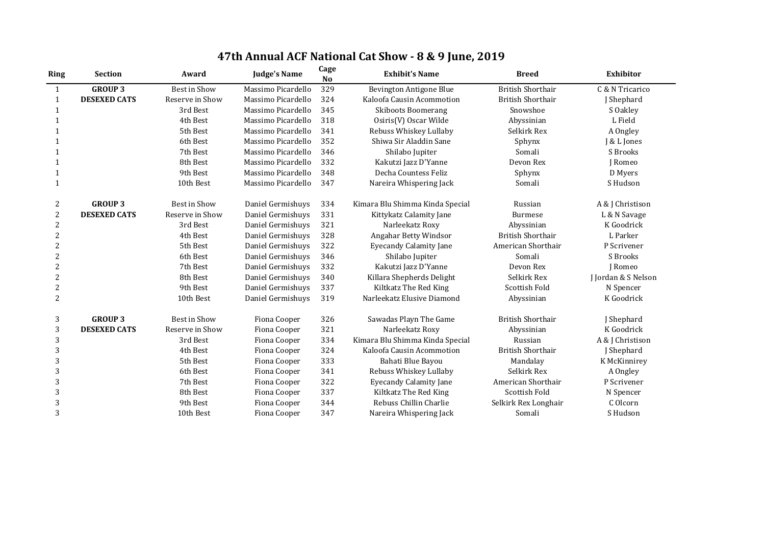| <b>Ring</b>    | <b>Section</b>      | Award               | <b>Judge's Name</b> | Cage<br>N <sub>o</sub> | <b>Exhibit's Name</b>           | <b>Breed</b>             | <b>Exhibitor</b>    |
|----------------|---------------------|---------------------|---------------------|------------------------|---------------------------------|--------------------------|---------------------|
| 1              | <b>GROUP 3</b>      | <b>Best in Show</b> | Massimo Picardello  | 329                    | Bevington Antigone Blue         | <b>British Shorthair</b> | C & N Tricarico     |
| $\mathbf{1}$   | <b>DESEXED CATS</b> | Reserve in Show     | Massimo Picardello  | 324                    | Kaloofa Causin Acommotion       | <b>British Shorthair</b> | J Shephard          |
|                |                     | 3rd Best            | Massimo Picardello  | 345                    | <b>Skiboots Boomerang</b>       | Snowshoe                 | S Oakley            |
|                |                     | 4th Best            | Massimo Picardello  | 318                    | Osiris(V) Oscar Wilde           | Abyssinian               | L Field             |
|                |                     | 5th Best            | Massimo Picardello  | 341                    | Rebuss Whiskey Lullaby          | Selkirk Rex              | A Ongley            |
|                |                     | 6th Best            | Massimo Picardello  | 352                    | Shiwa Sir Aladdin Sane          | Sphynx                   | J & L Jones         |
|                |                     | 7th Best            | Massimo Picardello  | 346                    | Shilabo Jupiter                 | Somali                   | S Brooks            |
|                |                     | 8th Best            | Massimo Picardello  | 332                    | Kakutzi Jazz D'Yanne            | Devon Rex                | J Romeo             |
|                |                     | 9th Best            | Massimo Picardello  | 348                    | Decha Countess Feliz            | Sphynx                   | D Myers             |
| 1              |                     | 10th Best           | Massimo Picardello  | 347                    | Nareira Whispering Jack         | Somali                   | S Hudson            |
| 2              | <b>GROUP 3</b>      | <b>Best in Show</b> | Daniel Germishuys   | 334                    | Kimara Blu Shimma Kinda Special | Russian                  | A & J Christison    |
| 2              | <b>DESEXED CATS</b> | Reserve in Show     | Daniel Germishuys   | 331                    | Kittykatz Calamity Jane         | <b>Burmese</b>           | L & N Savage        |
| 2              |                     | 3rd Best            | Daniel Germishuys   | 321                    | Narleekatz Roxy                 | Abyssinian               | K Goodrick          |
| $\overline{2}$ |                     | 4th Best            | Daniel Germishuys   | 328                    | Angahar Betty Windsor           | <b>British Shorthair</b> | L Parker            |
| $\overline{2}$ |                     | 5th Best            | Daniel Germishuys   | 322                    | <b>Eyecandy Calamity Jane</b>   | American Shorthair       | P Scrivener         |
| $\overline{2}$ |                     | 6th Best            | Daniel Germishuys   | 346                    | Shilabo Jupiter                 | Somali                   | S Brooks            |
| $\overline{2}$ |                     | 7th Best            | Daniel Germishuys   | 332                    | Kakutzi Jazz D'Yanne            | Devon Rex                | J Romeo             |
| $\overline{2}$ |                     | 8th Best            | Daniel Germishuys   | 340                    | Killara Shepherds Delight       | Selkirk Rex              | J Jordan & S Nelson |
| $\overline{2}$ |                     | 9th Best            | Daniel Germishuys   | 337                    | Kiltkatz The Red King           | <b>Scottish Fold</b>     | N Spencer           |
| $\overline{2}$ |                     | 10th Best           | Daniel Germishuys   | 319                    | Narleekatz Elusive Diamond      | Abyssinian               | K Goodrick          |
| 3              | <b>GROUP 3</b>      | Best in Show        | Fiona Cooper        | 326                    | Sawadas Playn The Game          | <b>British Shorthair</b> | J Shephard          |
| $\sqrt{3}$     | <b>DESEXED CATS</b> | Reserve in Show     | Fiona Cooper        | 321                    | Narleekatz Roxy                 | Abyssinian               | K Goodrick          |
| 3              |                     | 3rd Best            | Fiona Cooper        | 334                    | Kimara Blu Shimma Kinda Special | Russian                  | A & J Christison    |
| 3              |                     | 4th Best            | Fiona Cooper        | 324                    | Kaloofa Causin Acommotion       | <b>British Shorthair</b> | J Shephard          |
| 3              |                     | 5th Best            | Fiona Cooper        | 333                    | Bahati Blue Bayou               | Mandalay                 | K McKinnirey        |
| 3              |                     | 6th Best            | Fiona Cooper        | 341                    | Rebuss Whiskey Lullaby          | Selkirk Rex              | A Ongley            |
| 3              |                     | 7th Best            | Fiona Cooper        | 322                    | <b>Eyecandy Calamity Jane</b>   | American Shorthair       | P Scrivener         |
| 3              |                     | 8th Best            | Fiona Cooper        | 337                    | Kiltkatz The Red King           | Scottish Fold            | N Spencer           |
| 3              |                     | 9th Best            | Fiona Cooper        | 344                    | Rebuss Chillin Charlie          | Selkirk Rex Longhair     | C Olcorn            |
| 3              |                     | 10th Best           | Fiona Cooper        | 347                    | Nareira Whispering Jack         | Somali                   | S Hudson            |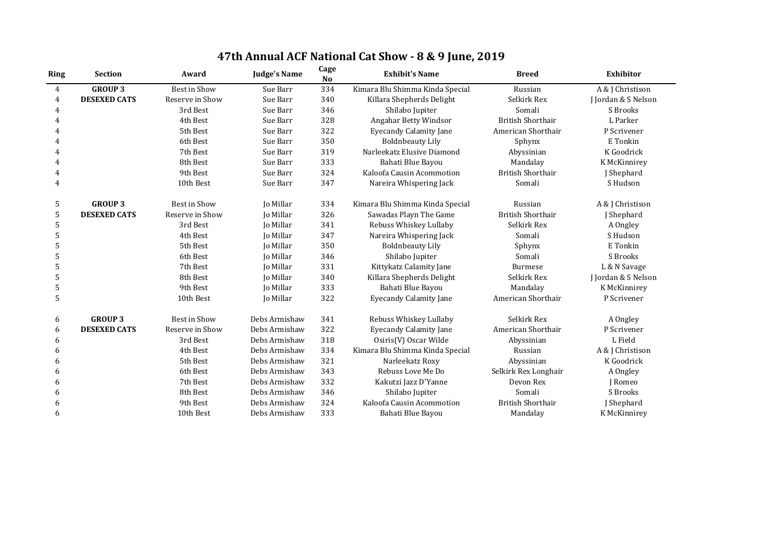| <b>Ring</b>    | <b>Section</b>      | Award               | <b>Judge's Name</b> | Cage<br>N <sub>o</sub> | <b>Exhibit's Name</b>           | <b>Breed</b>             | <b>Exhibitor</b>    |
|----------------|---------------------|---------------------|---------------------|------------------------|---------------------------------|--------------------------|---------------------|
| $\overline{4}$ | <b>GROUP 3</b>      | Best in Show        | Sue Barr            | 334                    | Kimara Blu Shimma Kinda Special | Russian                  | A & J Christison    |
| 4              | <b>DESEXED CATS</b> | Reserve in Show     | Sue Barr            | 340                    | Killara Shepherds Delight       | Selkirk Rex              | J Jordan & S Nelson |
| 4              |                     | 3rd Best            | Sue Barr            | 346                    | Shilabo Jupiter                 | Somali                   | S Brooks            |
| 4              |                     | 4th Best            | Sue Barr            | 328                    | Angahar Betty Windsor           | <b>British Shorthair</b> | L Parker            |
| 4              |                     | 5th Best            | Sue Barr            | 322                    | <b>Eyecandy Calamity Jane</b>   | American Shorthair       | P Scrivener         |
| 4              |                     | 6th Best            | Sue Barr            | 350                    | <b>Boldnbeauty Lily</b>         | Sphynx                   | E Tonkin            |
| 4              |                     | 7th Best            | Sue Barr            | 319                    | Narleekatz Elusive Diamond      | Abyssinian               | K Goodrick          |
| 4              |                     | 8th Best            | Sue Barr            | 333                    | Bahati Blue Bayou               | Mandalay                 | K McKinnirey        |
| 4              |                     | 9th Best            | Sue Barr            | 324                    | Kaloofa Causin Acommotion       | <b>British Shorthair</b> | J Shephard          |
| 4              |                     | 10th Best           | Sue Barr            | 347                    | Nareira Whispering Jack         | Somali                   | S Hudson            |
| 5              | <b>GROUP 3</b>      | <b>Best in Show</b> | Jo Millar           | 334                    | Kimara Blu Shimma Kinda Special | Russian                  | A & J Christison    |
| 5              | <b>DESEXED CATS</b> | Reserve in Show     | Jo Millar           | 326                    | Sawadas Playn The Game          | <b>British Shorthair</b> | J Shephard          |
| 5              |                     | 3rd Best            | Jo Millar           | 341                    | Rebuss Whiskey Lullaby          | Selkirk Rex              | A Ongley            |
| 5              |                     | 4th Best            | Jo Millar           | 347                    | Nareira Whispering Jack         | Somali                   | S Hudson            |
| 5              |                     | 5th Best            | Jo Millar           | 350                    | <b>Boldnbeauty Lily</b>         | Sphynx                   | E Tonkin            |
| 5              |                     | 6th Best            | Jo Millar           | 346                    | Shilabo Jupiter                 | Somali                   | S Brooks            |
| 5              |                     | 7th Best            | Jo Millar           | 331                    | Kittykatz Calamity Jane         | <b>Burmese</b>           | L & N Savage        |
| 5              |                     | 8th Best            | Jo Millar           | 340                    | Killara Shepherds Delight       | Selkirk Rex              | J Jordan & S Nelson |
| 5              |                     | 9th Best            | Jo Millar           | 333                    | Bahati Blue Bayou               | Mandalay                 | K McKinnirey        |
| 5              |                     | 10th Best           | Jo Millar           | 322                    | <b>Eyecandy Calamity Jane</b>   | American Shorthair       | P Scrivener         |
| 6              | <b>GROUP 3</b>      | <b>Best in Show</b> | Debs Armishaw       | 341                    | Rebuss Whiskey Lullaby          | Selkirk Rex              | A Ongley            |
| 6              | <b>DESEXED CATS</b> | Reserve in Show     | Debs Armishaw       | 322                    | <b>Eyecandy Calamity Jane</b>   | American Shorthair       | P Scrivener         |
| 6              |                     | 3rd Best            | Debs Armishaw       | 318                    | Osiris(V) Oscar Wilde           | Abyssinian               | L Field             |
| 6              |                     | 4th Best            | Debs Armishaw       | 334                    | Kimara Blu Shimma Kinda Special | Russian                  | A & J Christison    |
| 6              |                     | 5th Best            | Debs Armishaw       | 321                    | Narleekatz Roxy                 | Abyssinian               | K Goodrick          |
| 6              |                     | 6th Best            | Debs Armishaw       | 343                    | Rebuss Love Me Do               | Selkirk Rex Longhair     | A Ongley            |
| 6              |                     | 7th Best            | Debs Armishaw       | 332                    | Kakutzi Jazz D'Yanne            | Devon Rex                | J Romeo             |
| 6              |                     | 8th Best            | Debs Armishaw       | 346                    | Shilabo Jupiter                 | Somali                   | S Brooks            |
| 6              |                     | 9th Best            | Debs Armishaw       | 324                    | Kaloofa Causin Acommotion       | <b>British Shorthair</b> | J Shephard          |
| 6              |                     | 10th Best           | Debs Armishaw       | 333                    | Bahati Blue Bayou               | Mandalay                 | K McKinnirey        |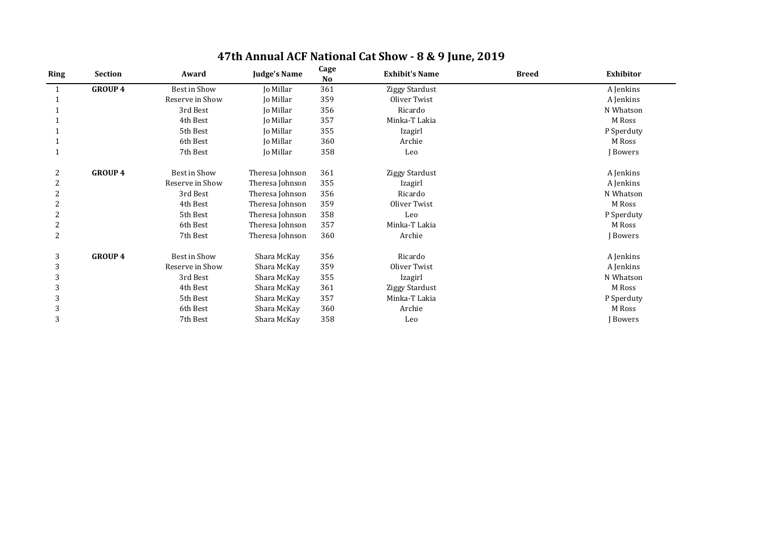| <b>Ring</b>    | <b>Section</b> | Award           | <b>Judge's Name</b> | Cage<br><b>No</b> | <b>Exhibit's Name</b> | <b>Breed</b> | <b>Exhibitor</b> |
|----------------|----------------|-----------------|---------------------|-------------------|-----------------------|--------------|------------------|
|                | <b>GROUP 4</b> | Best in Show    | Jo Millar           | 361               | <b>Ziggy Stardust</b> |              | A Jenkins        |
|                |                | Reserve in Show | Jo Millar           | 359               | Oliver Twist          |              | A Jenkins        |
|                |                | 3rd Best        | Jo Millar           | 356               | Ricardo               |              | N Whatson        |
|                |                | 4th Best        | Jo Millar           | 357               | Minka-T Lakia         |              | M Ross           |
|                |                | 5th Best        | Jo Millar           | 355               | Izagirl               |              | P Sperduty       |
|                |                | 6th Best        | Jo Millar           | 360               | Archie                |              | M Ross           |
|                |                | 7th Best        | Jo Millar           | 358               | Leo                   |              | J Bowers         |
| 2              | <b>GROUP 4</b> | Best in Show    | Theresa Johnson     | 361               | <b>Ziggy Stardust</b> |              | A Jenkins        |
| $\overline{2}$ |                | Reserve in Show | Theresa Johnson     | 355               | Izagirl               |              | A Jenkins        |
| 2              |                | 3rd Best        | Theresa Johnson     | 356               | Ricardo               |              | N Whatson        |
|                |                | 4th Best        | Theresa Johnson     | 359               | Oliver Twist          |              | M Ross           |
|                |                | 5th Best        | Theresa Johnson     | 358               | Leo                   |              | P Sperduty       |
| $\overline{2}$ |                | 6th Best        | Theresa Johnson     | 357               | Minka-T Lakia         |              | M Ross           |
| 2              |                | 7th Best        | Theresa Johnson     | 360               | Archie                |              | J Bowers         |
| 3              | <b>GROUP 4</b> | Best in Show    | Shara McKay         | 356               | Ricardo               |              | A Jenkins        |
| 3              |                | Reserve in Show | Shara McKay         | 359               | Oliver Twist          |              | A Jenkins        |
| 3              |                | 3rd Best        | Shara McKay         | 355               | Izagirl               |              | N Whatson        |
| 3              |                | 4th Best        | Shara McKay         | 361               | Ziggy Stardust        |              | M Ross           |
| 3              |                | 5th Best        | Shara McKay         | 357               | Minka-T Lakia         |              | P Sperduty       |
| 3              |                | 6th Best        | Shara McKay         | 360               | Archie                |              | M Ross           |
| 3              |                | 7th Best        | Shara McKay         | 358               | Leo                   |              | J Bowers         |